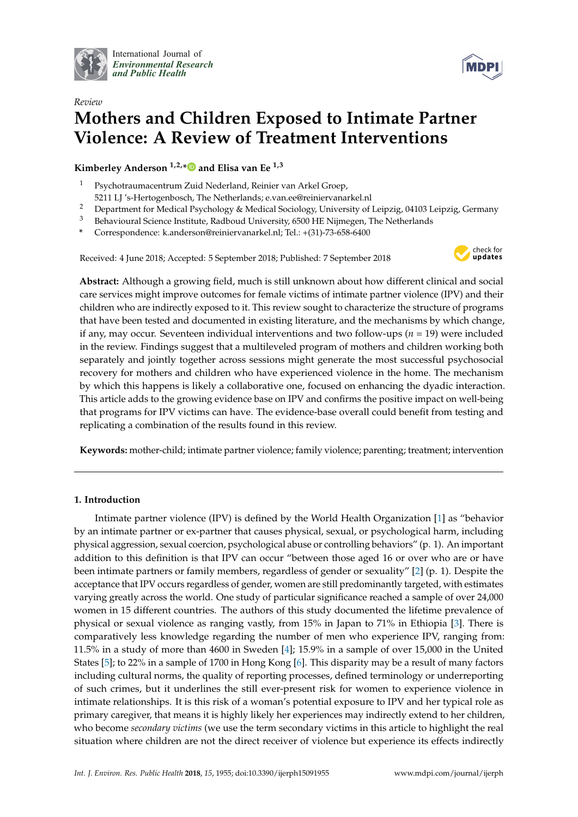

International Journal of *[Environmental Research](http://www.mdpi.com/journal/ijerph) and Public Health*



# *Review* **Mothers and Children Exposed to Intimate Partner Violence: A Review of Treatment Interventions**

**Kimberley Anderson 1,2,[\\*](https://orcid.org/0000-0002-2500-3078) and Elisa van Ee 1,3**

- <sup>1</sup> Psychotraumacentrum Zuid Nederland, Reinier van Arkel Groep,
- 5211 LJ 's-Hertogenbosch, The Netherlands; e.van.ee@reiniervanarkel.nl
- <sup>2</sup> Department for Medical Psychology & Medical Sociology, University of Leipzig, 04103 Leipzig, Germany
- <sup>3</sup> Behavioural Science Institute, Radboud University, 6500 HE Nijmegen, The Netherlands
- **\*** Correspondence: k.anderson@reiniervanarkel.nl; Tel.: +(31)-73-658-6400

Received: 4 June 2018; Accepted: 5 September 2018; Published: 7 September 2018



**Abstract:** Although a growing field, much is still unknown about how different clinical and social care services might improve outcomes for female victims of intimate partner violence (IPV) and their children who are indirectly exposed to it. This review sought to characterize the structure of programs that have been tested and documented in existing literature, and the mechanisms by which change, if any, may occur. Seventeen individual interventions and two follow-ups (*n* = 19) were included in the review. Findings suggest that a multileveled program of mothers and children working both separately and jointly together across sessions might generate the most successful psychosocial recovery for mothers and children who have experienced violence in the home. The mechanism by which this happens is likely a collaborative one, focused on enhancing the dyadic interaction. This article adds to the growing evidence base on IPV and confirms the positive impact on well-being that programs for IPV victims can have. The evidence-base overall could benefit from testing and replicating a combination of the results found in this review.

**Keywords:** mother-child; intimate partner violence; family violence; parenting; treatment; intervention

# **1. Introduction**

Intimate partner violence (IPV) is defined by the World Health Organization [\[1\]](#page-21-0) as "behavior by an intimate partner or ex-partner that causes physical, sexual, or psychological harm, including physical aggression, sexual coercion, psychological abuse or controlling behaviors" (p. 1). An important addition to this definition is that IPV can occur "between those aged 16 or over who are or have been intimate partners or family members, regardless of gender or sexuality" [\[2\]](#page-21-1) (p. 1). Despite the acceptance that IPV occurs regardless of gender, women are still predominantly targeted, with estimates varying greatly across the world. One study of particular significance reached a sample of over 24,000 women in 15 different countries. The authors of this study documented the lifetime prevalence of physical or sexual violence as ranging vastly, from 15% in Japan to 71% in Ethiopia [\[3\]](#page-21-2). There is comparatively less knowledge regarding the number of men who experience IPV, ranging from: 11.5% in a study of more than 4600 in Sweden [\[4\]](#page-21-3); 15.9% in a sample of over 15,000 in the United States [\[5\]](#page-22-0); to 22% in a sample of 1700 in Hong Kong [\[6\]](#page-22-1). This disparity may be a result of many factors including cultural norms, the quality of reporting processes, defined terminology or underreporting of such crimes, but it underlines the still ever-present risk for women to experience violence in intimate relationships. It is this risk of a woman's potential exposure to IPV and her typical role as primary caregiver, that means it is highly likely her experiences may indirectly extend to her children, who become *secondary victims* (we use the term secondary victims in this article to highlight the real situation where children are not the direct receiver of violence but experience its effects indirectly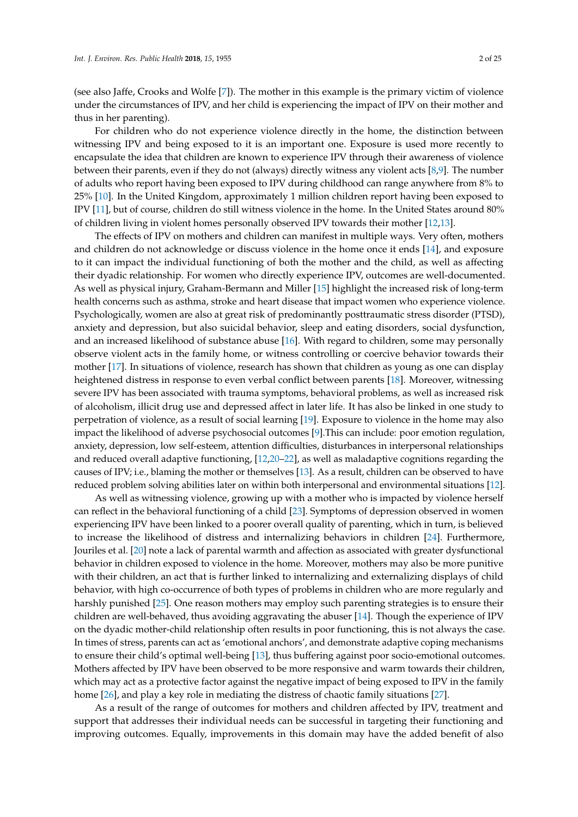(see also Jaffe, Crooks and Wolfe [\[7\]](#page-22-2)). The mother in this example is the primary victim of violence under the circumstances of IPV, and her child is experiencing the impact of IPV on their mother and thus in her parenting).

For children who do not experience violence directly in the home, the distinction between witnessing IPV and being exposed to it is an important one. Exposure is used more recently to encapsulate the idea that children are known to experience IPV through their awareness of violence between their parents, even if they do not (always) directly witness any violent acts [\[8](#page-22-3)[,9\]](#page-22-4). The number of adults who report having been exposed to IPV during childhood can range anywhere from 8% to 25% [\[10\]](#page-22-5). In the United Kingdom, approximately 1 million children report having been exposed to IPV [\[11\]](#page-22-6), but of course, children do still witness violence in the home. In the United States around 80% of children living in violent homes personally observed IPV towards their mother [\[12,](#page-22-7)[13\]](#page-22-8).

The effects of IPV on mothers and children can manifest in multiple ways. Very often, mothers and children do not acknowledge or discuss violence in the home once it ends [\[14\]](#page-22-9), and exposure to it can impact the individual functioning of both the mother and the child, as well as affecting their dyadic relationship. For women who directly experience IPV, outcomes are well-documented. As well as physical injury, Graham-Bermann and Miller [\[15\]](#page-22-10) highlight the increased risk of long-term health concerns such as asthma, stroke and heart disease that impact women who experience violence. Psychologically, women are also at great risk of predominantly posttraumatic stress disorder (PTSD), anxiety and depression, but also suicidal behavior, sleep and eating disorders, social dysfunction, and an increased likelihood of substance abuse [\[16\]](#page-22-11). With regard to children, some may personally observe violent acts in the family home, or witness controlling or coercive behavior towards their mother [\[17\]](#page-22-12). In situations of violence, research has shown that children as young as one can display heightened distress in response to even verbal conflict between parents [\[18\]](#page-22-13). Moreover, witnessing severe IPV has been associated with trauma symptoms, behavioral problems, as well as increased risk of alcoholism, illicit drug use and depressed affect in later life. It has also be linked in one study to perpetration of violence, as a result of social learning [\[19\]](#page-22-14). Exposure to violence in the home may also impact the likelihood of adverse psychosocial outcomes [\[9\]](#page-22-4).This can include: poor emotion regulation, anxiety, depression, low self-esteem, attention difficulties, disturbances in interpersonal relationships and reduced overall adaptive functioning, [\[12,](#page-22-7)[20–](#page-22-15)[22\]](#page-22-16), as well as maladaptive cognitions regarding the causes of IPV; i.e., blaming the mother or themselves [\[13\]](#page-22-8). As a result, children can be observed to have reduced problem solving abilities later on within both interpersonal and environmental situations [\[12\]](#page-22-7).

As well as witnessing violence, growing up with a mother who is impacted by violence herself can reflect in the behavioral functioning of a child [\[23\]](#page-22-17). Symptoms of depression observed in women experiencing IPV have been linked to a poorer overall quality of parenting, which in turn, is believed to increase the likelihood of distress and internalizing behaviors in children [\[24\]](#page-22-18). Furthermore, Jouriles et al. [\[20\]](#page-22-15) note a lack of parental warmth and affection as associated with greater dysfunctional behavior in children exposed to violence in the home. Moreover, mothers may also be more punitive with their children, an act that is further linked to internalizing and externalizing displays of child behavior, with high co-occurrence of both types of problems in children who are more regularly and harshly punished [\[25\]](#page-22-19). One reason mothers may employ such parenting strategies is to ensure their children are well-behaved, thus avoiding aggravating the abuser [\[14\]](#page-22-9). Though the experience of IPV on the dyadic mother-child relationship often results in poor functioning, this is not always the case. In times of stress, parents can act as 'emotional anchors', and demonstrate adaptive coping mechanisms to ensure their child's optimal well-being [\[13\]](#page-22-8), thus buffering against poor socio-emotional outcomes. Mothers affected by IPV have been observed to be more responsive and warm towards their children, which may act as a protective factor against the negative impact of being exposed to IPV in the family home [\[26\]](#page-22-20), and play a key role in mediating the distress of chaotic family situations [\[27\]](#page-23-0).

As a result of the range of outcomes for mothers and children affected by IPV, treatment and support that addresses their individual needs can be successful in targeting their functioning and improving outcomes. Equally, improvements in this domain may have the added benefit of also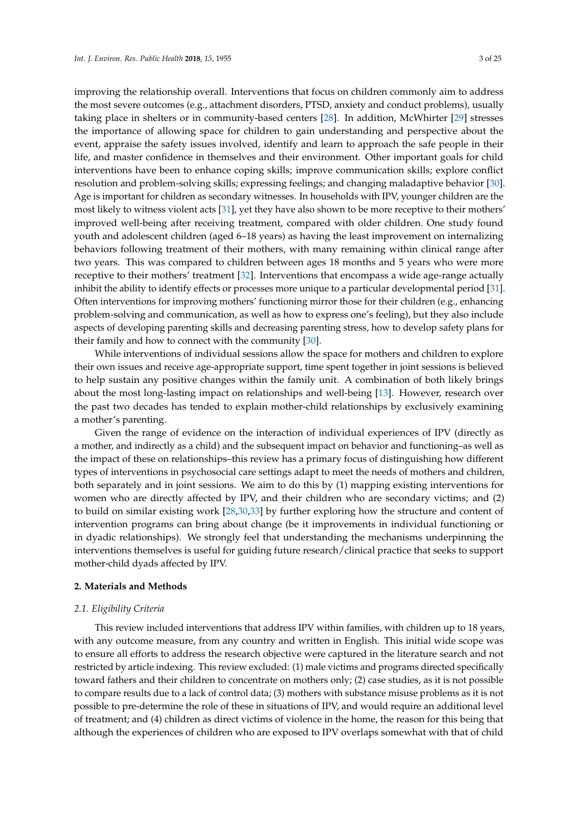improving the relationship overall. Interventions that focus on children commonly aim to address the most severe outcomes (e.g., attachment disorders, PTSD, anxiety and conduct problems), usually taking place in shelters or in community-based centers [\[28\]](#page-23-1). In addition, McWhirter [\[29\]](#page-23-2) stresses the importance of allowing space for children to gain understanding and perspective about the event, appraise the safety issues involved, identify and learn to approach the safe people in their life, and master confidence in themselves and their environment. Other important goals for child interventions have been to enhance coping skills; improve communication skills; explore conflict resolution and problem-solving skills; expressing feelings; and changing maladaptive behavior [\[30\]](#page-23-3). Age is important for children as secondary witnesses. In households with IPV, younger children are the most likely to witness violent acts [\[31\]](#page-23-4), yet they have also shown to be more receptive to their mothers' improved well-being after receiving treatment, compared with older children. One study found youth and adolescent children (aged 6–18 years) as having the least improvement on internalizing behaviors following treatment of their mothers, with many remaining within clinical range after two years. This was compared to children between ages 18 months and 5 years who were more receptive to their mothers' treatment [\[32\]](#page-23-5). Interventions that encompass a wide age-range actually inhibit the ability to identify effects or processes more unique to a particular developmental period [\[31\]](#page-23-4). Often interventions for improving mothers' functioning mirror those for their children (e.g., enhancing problem-solving and communication, as well as how to express one's feeling), but they also include aspects of developing parenting skills and decreasing parenting stress, how to develop safety plans for their family and how to connect with the community [\[30\]](#page-23-3).

While interventions of individual sessions allow the space for mothers and children to explore their own issues and receive age-appropriate support, time spent together in joint sessions is believed to help sustain any positive changes within the family unit. A combination of both likely brings about the most long-lasting impact on relationships and well-being [\[13\]](#page-22-8). However, research over the past two decades has tended to explain mother-child relationships by exclusively examining a mother's parenting.

Given the range of evidence on the interaction of individual experiences of IPV (directly as a mother, and indirectly as a child) and the subsequent impact on behavior and functioning–as well as the impact of these on relationships–this review has a primary focus of distinguishing how different types of interventions in psychosocial care settings adapt to meet the needs of mothers and children, both separately and in joint sessions. We aim to do this by (1) mapping existing interventions for women who are directly affected by IPV, and their children who are secondary victims; and (2) to build on similar existing work [\[28,](#page-23-1)[30,](#page-23-3)[33\]](#page-23-6) by further exploring how the structure and content of intervention programs can bring about change (be it improvements in individual functioning or in dyadic relationships). We strongly feel that understanding the mechanisms underpinning the interventions themselves is useful for guiding future research/clinical practice that seeks to support mother-child dyads affected by IPV.

# **2. Materials and Methods**

# *2.1. Eligibility Criteria*

This review included interventions that address IPV within families, with children up to 18 years, with any outcome measure, from any country and written in English. This initial wide scope was to ensure all efforts to address the research objective were captured in the literature search and not restricted by article indexing. This review excluded: (1) male victims and programs directed specifically toward fathers and their children to concentrate on mothers only; (2) case studies, as it is not possible to compare results due to a lack of control data; (3) mothers with substance misuse problems as it is not possible to pre-determine the role of these in situations of IPV, and would require an additional level of treatment; and (4) children as direct victims of violence in the home, the reason for this being that although the experiences of children who are exposed to IPV overlaps somewhat with that of child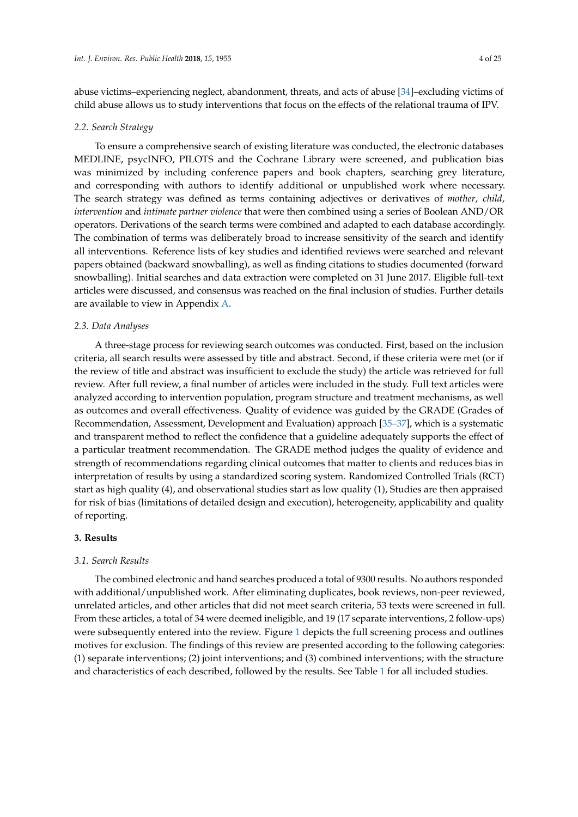abuse victims–experiencing neglect, abandonment, threats, and acts of abuse [\[34\]](#page-23-7)–excluding victims of child abuse allows us to study interventions that focus on the effects of the relational trauma of IPV.

#### *2.2. Search Strategy*

To ensure a comprehensive search of existing literature was conducted, the electronic databases MEDLINE, psycINFO, PILOTS and the Cochrane Library were screened, and publication bias was minimized by including conference papers and book chapters, searching grey literature, and corresponding with authors to identify additional or unpublished work where necessary. The search strategy was defined as terms containing adjectives or derivatives of *mother*, *child*, *intervention* and *intimate partner violence* that were then combined using a series of Boolean AND/OR operators. Derivations of the search terms were combined and adapted to each database accordingly. The combination of terms was deliberately broad to increase sensitivity of the search and identify all interventions. Reference lists of key studies and identified reviews were searched and relevant papers obtained (backward snowballing), as well as finding citations to studies documented (forward snowballing). Initial searches and data extraction were completed on 31 June 2017. Eligible full-text articles were discussed, and consensus was reached on the final inclusion of studies. Further details are available to view in Appendix [A.](#page-20-0)

# *2.3. Data Analyses*

A three-stage process for reviewing search outcomes was conducted. First, based on the inclusion criteria, all search results were assessed by title and abstract. Second, if these criteria were met (or if the review of title and abstract was insufficient to exclude the study) the article was retrieved for full review. After full review, a final number of articles were included in the study. Full text articles were analyzed according to intervention population, program structure and treatment mechanisms, as well as outcomes and overall effectiveness. Quality of evidence was guided by the GRADE (Grades of Recommendation, Assessment, Development and Evaluation) approach [\[35–](#page-23-8)[37\]](#page-23-9), which is a systematic and transparent method to reflect the confidence that a guideline adequately supports the effect of a particular treatment recommendation. The GRADE method judges the quality of evidence and strength of recommendations regarding clinical outcomes that matter to clients and reduces bias in interpretation of results by using a standardized scoring system. Randomized Controlled Trials (RCT) start as high quality (4), and observational studies start as low quality (1), Studies are then appraised for risk of bias (limitations of detailed design and execution), heterogeneity, applicability and quality of reporting.

# **3. Results**

# *3.1. Search Results*

The combined electronic and hand searches produced a total of 9300 results. No authors responded with additional/unpublished work. After eliminating duplicates, book reviews, non-peer reviewed, unrelated articles, and other articles that did not meet search criteria, 53 texts were screened in full. From these articles, a total of 34 were deemed ineligible, and 19 (17 separate interventions, 2 follow-ups) were subsequently entered into the review. Figure [1](#page-4-0) depicts the full screening process and outlines motives for exclusion. The findings of this review are presented according to the following categories: (1) separate interventions; (2) joint interventions; and (3) combined interventions; with the structure and characteristics of each described, followed by the results. See Table [1](#page-7-0) for all included studies.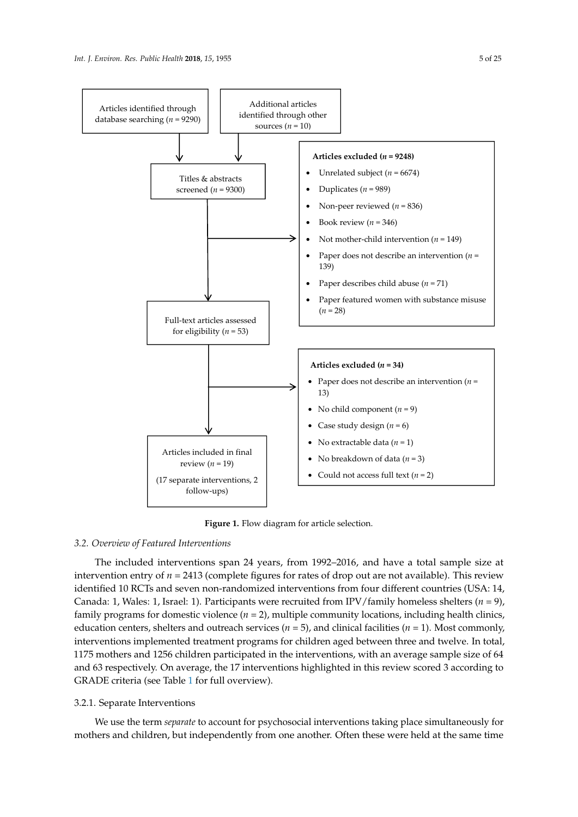<span id="page-4-0"></span>

**Figure 1.** Flow diagram for article selection. **Figure 1.** Flow diagram for article selection.

# *3.2. Overview of Featured Interventions 3.2. Overview of Featured Interventions*

The included interventions span 24 years, from 1992–2016, and have a total sample size at The included interventions span 24 years, from 1992–2016, and have a total sample size at intervention entry of *n* = 2413 (complete figures for rates of drop out are not available). This review intervention entry of *n* = 2413 (complete figures for rates of drop out are not available). This review identified 10 RCTs and seven non-randomized interventions from four different countries (USA: 14, identified 10 RCTs and seven non-randomized interventions from four different countries (USA: 14, Canada: 1, Wales: 1, Israel: 1). Participants were recruited from IPV/family homeless shelters (*n* = 9), Canada: 1, Wales: 1, Israel: 1). Participants were recruited from IPV/family homeless shelters (*n* = 9), family programs for domestic violence (*n* = 2), multiple community locations, including health clinics, family programs for domestic violence (*n* = 2), multiple community locations, including health clinics, education centers, shelters and outreach services ( $n = 5$ ), and clinical facilities ( $n = 1$ ). Most commonly, interventions implemented treatment programs for children aged between three and twelve. In total, interventions implemented treatment programs for children aged between three and twelve. In total,<br>1475 metal, 1485 64 111 1175 mothers and 1256 children participated in the interventions, with an average sample size of 64 and 63 respectively. On average, the 17 interventions highlighted in this review scored 3 according to GRADE criteria (see Table [1](#page-7-0) for full overview).

#### 3.2.1. Separate Interventions We use the term *separate* to account for psychosocial interventions taking place simultaneously 3.2.1. Separate Interventions

We use the term *separate* to account for psychosocial interventions taking place simultaneously for mothers and children, but independently from one another. Often these were held at the same time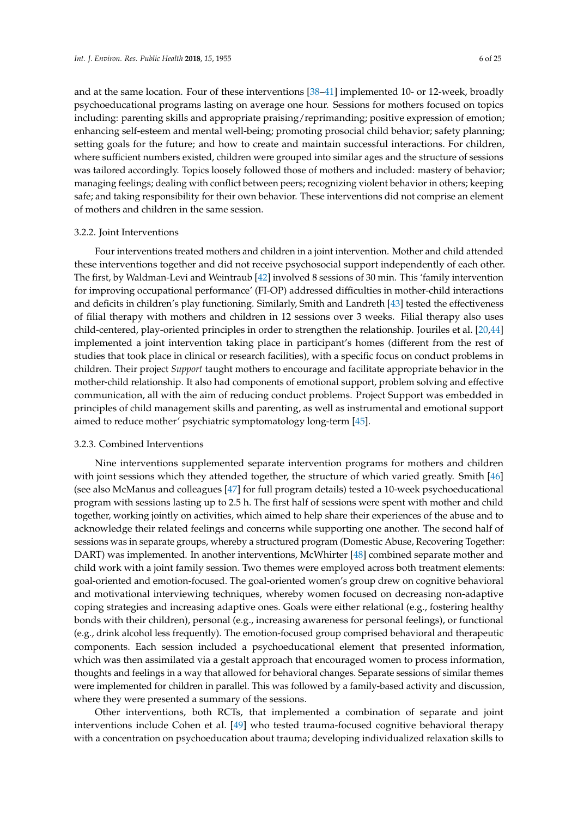and at the same location. Four of these interventions [\[38](#page-23-10)[–41\]](#page-23-11) implemented 10- or 12-week, broadly psychoeducational programs lasting on average one hour. Sessions for mothers focused on topics including: parenting skills and appropriate praising/reprimanding; positive expression of emotion; enhancing self-esteem and mental well-being; promoting prosocial child behavior; safety planning; setting goals for the future; and how to create and maintain successful interactions. For children, where sufficient numbers existed, children were grouped into similar ages and the structure of sessions was tailored accordingly. Topics loosely followed those of mothers and included: mastery of behavior; managing feelings; dealing with conflict between peers; recognizing violent behavior in others; keeping safe; and taking responsibility for their own behavior. These interventions did not comprise an element of mothers and children in the same session.

## 3.2.2. Joint Interventions

Four interventions treated mothers and children in a joint intervention. Mother and child attended these interventions together and did not receive psychosocial support independently of each other. The first, by Waldman-Levi and Weintraub [\[42\]](#page-23-12) involved 8 sessions of 30 min. This 'family intervention for improving occupational performance' (FI-OP) addressed difficulties in mother-child interactions and deficits in children's play functioning. Similarly, Smith and Landreth [\[43\]](#page-23-13) tested the effectiveness of filial therapy with mothers and children in 12 sessions over 3 weeks. Filial therapy also uses child-centered, play-oriented principles in order to strengthen the relationship. Jouriles et al. [\[20](#page-22-15)[,44\]](#page-23-14) implemented a joint intervention taking place in participant's homes (different from the rest of studies that took place in clinical or research facilities), with a specific focus on conduct problems in children. Their project *Support* taught mothers to encourage and facilitate appropriate behavior in the mother-child relationship. It also had components of emotional support, problem solving and effective communication, all with the aim of reducing conduct problems. Project Support was embedded in principles of child management skills and parenting, as well as instrumental and emotional support aimed to reduce mother' psychiatric symptomatology long-term [\[45\]](#page-23-15).

# 3.2.3. Combined Interventions

Nine interventions supplemented separate intervention programs for mothers and children with joint sessions which they attended together, the structure of which varied greatly. Smith [\[46\]](#page-23-16) (see also McManus and colleagues [\[47\]](#page-23-17) for full program details) tested a 10-week psychoeducational program with sessions lasting up to 2.5 h. The first half of sessions were spent with mother and child together, working jointly on activities, which aimed to help share their experiences of the abuse and to acknowledge their related feelings and concerns while supporting one another. The second half of sessions was in separate groups, whereby a structured program (Domestic Abuse, Recovering Together: DART) was implemented. In another interventions, McWhirter [\[48\]](#page-24-0) combined separate mother and child work with a joint family session. Two themes were employed across both treatment elements: goal-oriented and emotion-focused. The goal-oriented women's group drew on cognitive behavioral and motivational interviewing techniques, whereby women focused on decreasing non-adaptive coping strategies and increasing adaptive ones. Goals were either relational (e.g., fostering healthy bonds with their children), personal (e.g., increasing awareness for personal feelings), or functional (e.g., drink alcohol less frequently). The emotion-focused group comprised behavioral and therapeutic components. Each session included a psychoeducational element that presented information, which was then assimilated via a gestalt approach that encouraged women to process information, thoughts and feelings in a way that allowed for behavioral changes. Separate sessions of similar themes were implemented for children in parallel. This was followed by a family-based activity and discussion, where they were presented a summary of the sessions.

Other interventions, both RCTs, that implemented a combination of separate and joint interventions include Cohen et al. [\[49\]](#page-24-1) who tested trauma-focused cognitive behavioral therapy with a concentration on psychoeducation about trauma; developing individualized relaxation skills to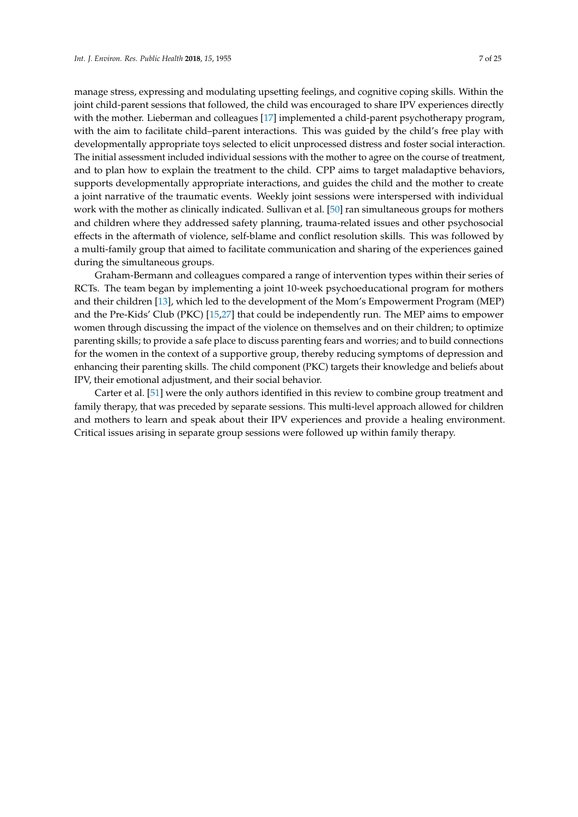manage stress, expressing and modulating upsetting feelings, and cognitive coping skills. Within the joint child-parent sessions that followed, the child was encouraged to share IPV experiences directly with the mother. Lieberman and colleagues [\[17\]](#page-22-12) implemented a child-parent psychotherapy program, with the aim to facilitate child–parent interactions. This was guided by the child's free play with developmentally appropriate toys selected to elicit unprocessed distress and foster social interaction. The initial assessment included individual sessions with the mother to agree on the course of treatment, and to plan how to explain the treatment to the child. CPP aims to target maladaptive behaviors, supports developmentally appropriate interactions, and guides the child and the mother to create a joint narrative of the traumatic events. Weekly joint sessions were interspersed with individual work with the mother as clinically indicated. Sullivan et al. [\[50\]](#page-24-2) ran simultaneous groups for mothers and children where they addressed safety planning, trauma-related issues and other psychosocial effects in the aftermath of violence, self-blame and conflict resolution skills. This was followed by a multi-family group that aimed to facilitate communication and sharing of the experiences gained during the simultaneous groups.

Graham-Bermann and colleagues compared a range of intervention types within their series of RCTs. The team began by implementing a joint 10-week psychoeducational program for mothers and their children [\[13\]](#page-22-8), which led to the development of the Mom's Empowerment Program (MEP) and the Pre-Kids' Club (PKC) [\[15](#page-22-10)[,27\]](#page-23-0) that could be independently run. The MEP aims to empower women through discussing the impact of the violence on themselves and on their children; to optimize parenting skills; to provide a safe place to discuss parenting fears and worries; and to build connections for the women in the context of a supportive group, thereby reducing symptoms of depression and enhancing their parenting skills. The child component (PKC) targets their knowledge and beliefs about IPV, their emotional adjustment, and their social behavior.

Carter et al. [\[51\]](#page-24-3) were the only authors identified in this review to combine group treatment and family therapy, that was preceded by separate sessions. This multi-level approach allowed for children and mothers to learn and speak about their IPV experiences and provide a healing environment. Critical issues arising in separate group sessions were followed up within family therapy.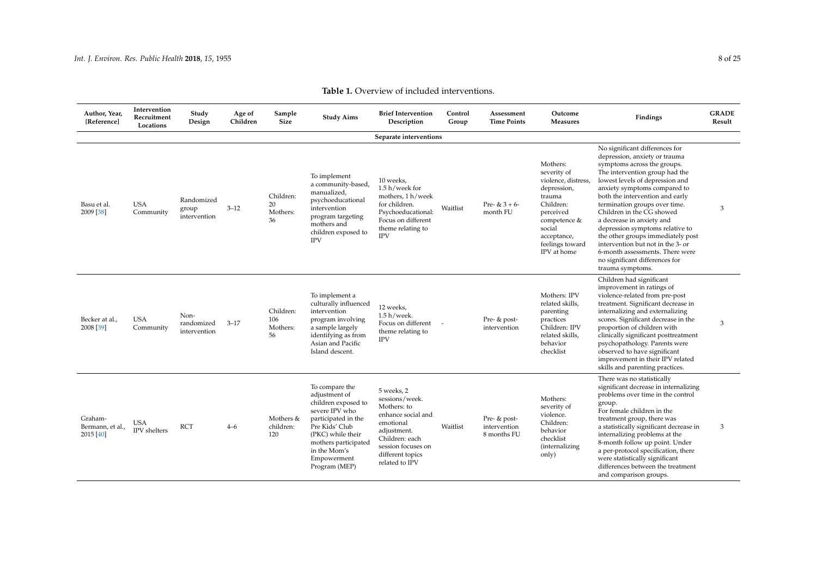<span id="page-7-0"></span>

| Author, Year,<br>{Reference]             | Intervention<br>Recruitment<br>Locations | Study<br>Design                     | Age of<br>Children | Sample<br><b>Size</b>              | <b>Study Aims</b>                                                                                                                                                                                              | <b>Brief Intervention</b><br>Description                                                                                                                                    | Control<br>Group         | Assessment<br><b>Time Points</b>            | Outcome<br><b>Measures</b>                                                                                                                                                   | Findings                                                                                                                                                                                                                                                                                                                                                                                                                                                                                                                                | <b>GRADE</b><br>Result |
|------------------------------------------|------------------------------------------|-------------------------------------|--------------------|------------------------------------|----------------------------------------------------------------------------------------------------------------------------------------------------------------------------------------------------------------|-----------------------------------------------------------------------------------------------------------------------------------------------------------------------------|--------------------------|---------------------------------------------|------------------------------------------------------------------------------------------------------------------------------------------------------------------------------|-----------------------------------------------------------------------------------------------------------------------------------------------------------------------------------------------------------------------------------------------------------------------------------------------------------------------------------------------------------------------------------------------------------------------------------------------------------------------------------------------------------------------------------------|------------------------|
|                                          |                                          |                                     |                    |                                    |                                                                                                                                                                                                                | Separate interventions                                                                                                                                                      |                          |                                             |                                                                                                                                                                              |                                                                                                                                                                                                                                                                                                                                                                                                                                                                                                                                         |                        |
| Basu et al.<br>2009 [38]                 | <b>USA</b><br>Community                  | Randomized<br>group<br>intervention | $3 - 12$           | Children:<br>20<br>Mothers:<br>36  | To implement<br>a community-based,<br>manualized,<br>psychoeducational<br>intervention<br>program targeting<br>mothers and<br>children exposed to<br><b>IPV</b>                                                | 10 weeks,<br>1.5 h/week for<br>mothers, 1 h/week<br>for children.<br>Psychoeducational:<br>Focus on different<br>theme relating to<br><b>IPV</b>                            | Waitlist                 | Pre- & $3 + 6$ -<br>month FU                | Mothers:<br>severity of<br>violence, distress,<br>depression,<br>trauma<br>Children:<br>perceived<br>competence &<br>social<br>acceptance,<br>feelings toward<br>IPV at home | No significant differences for<br>depression, anxiety or trauma<br>symptoms across the groups.<br>The intervention group had the<br>lowest levels of depression and<br>anxiety symptoms compared to<br>both the intervention and early<br>termination groups over time.<br>Children in the CG showed<br>a decrease in anxiety and<br>depression symptoms relative to<br>the other groups immediately post<br>intervention but not in the 3- or<br>6-month assessments. There were<br>no significant differences for<br>trauma symptoms. | 3                      |
| Becker at al.,<br>2008 [39]              | <b>USA</b><br>Community                  | Non-<br>randomized<br>intervention  | $3 - 17$           | Children:<br>106<br>Mothers:<br>56 | To implement a<br>culturally influenced<br>intervention<br>program involving<br>a sample largely<br>identifying as from<br>Asian and Pacific<br>Island descent.                                                | 12 weeks,<br>$1.5 h$ /week.<br>Focus on different<br>theme relating to<br><b>IPV</b>                                                                                        | $\overline{\phantom{a}}$ | Pre- & post-<br>intervention                | Mothers: IPV<br>related skills,<br>parenting<br>practices<br>Children: IPV<br>related skills,<br>behavior<br>checklist                                                       | Children had significant<br>improvement in ratings of<br>violence-related from pre-post<br>treatment. Significant decrease in<br>internalizing and externalizing<br>scores. Significant decrease in the<br>proportion of children with<br>clinically significant posttreatment<br>psychopathology. Parents were<br>observed to have significant<br>improvement in their IPV related<br>skills and parenting practices.                                                                                                                  | 3                      |
| Graham-<br>Bermann, et al.,<br>2015 [40] | <b>USA</b><br>IPV shelters               | <b>RCT</b>                          | $4 - 6$            | Mothers &<br>children:<br>120      | To compare the<br>adjustment of<br>children exposed to<br>severe IPV who<br>participated in the<br>Pre Kids' Club<br>(PKC) while their<br>mothers participated<br>in the Mom's<br>Empowerment<br>Program (MEP) | 5 weeks, 2<br>sessions/week.<br>Mothers: to<br>enhance social and<br>emotional<br>adjustment.<br>Children: each<br>session focuses on<br>different topics<br>related to IPV | Waitlist                 | Pre- & post-<br>intervention<br>8 months FU | Mothers:<br>severity of<br>violence.<br>Children:<br>behavior<br>checklist<br><i>(internalizing</i> )<br>only)                                                               | There was no statistically<br>significant decrease in internalizing<br>problems over time in the control<br>group.<br>For female children in the<br>treatment group, there was<br>a statistically significant decrease in<br>internalizing problems at the<br>8-month follow up point. Under<br>a per-protocol specification, there<br>were statistically significant<br>differences between the treatment<br>and comparison groups.                                                                                                    | 3                      |

**Table 1.** Overview of included interventions.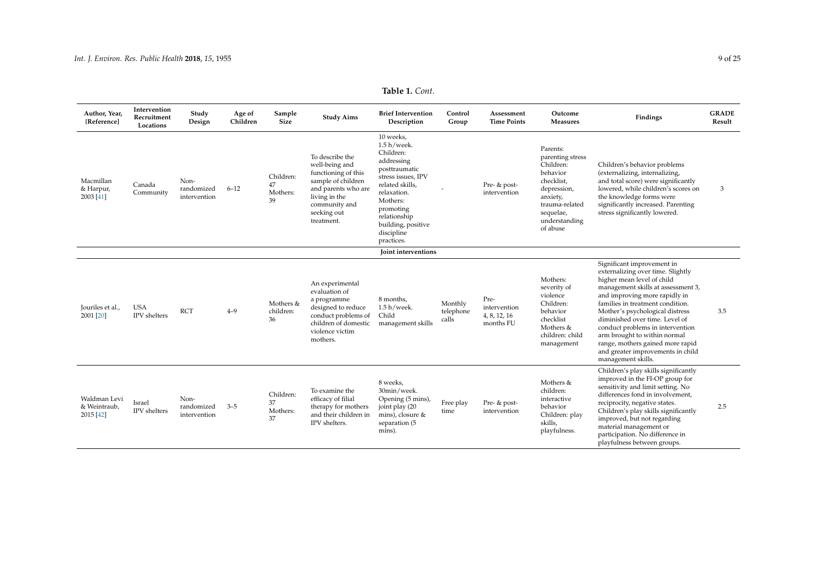| Table 1. Cont. |  |  |
|----------------|--|--|
|----------------|--|--|

| Author, Year,<br>{Reference]              | Intervention<br>Recruitment<br>Locations | Study<br>Design                    | Age of<br>Children | Sample<br>Size                    | <b>Study Aims</b>                                                                                                                                                    | <b>Brief Intervention</b><br>Description                                                                                                                                                                                   | Control<br>Group              | Assessment<br><b>Time Points</b>                  | Outcome<br><b>Measures</b>                                                                                                                                 | Findings                                                                                                                                                                                                                                                                                                                                                                                                                                         | <b>GRADE</b><br>Result |
|-------------------------------------------|------------------------------------------|------------------------------------|--------------------|-----------------------------------|----------------------------------------------------------------------------------------------------------------------------------------------------------------------|----------------------------------------------------------------------------------------------------------------------------------------------------------------------------------------------------------------------------|-------------------------------|---------------------------------------------------|------------------------------------------------------------------------------------------------------------------------------------------------------------|--------------------------------------------------------------------------------------------------------------------------------------------------------------------------------------------------------------------------------------------------------------------------------------------------------------------------------------------------------------------------------------------------------------------------------------------------|------------------------|
| Macmillan<br>& Harpur,<br>2003 [41]       | Canada<br>Community                      | Non-<br>randomized<br>intervention | $6 - 12$           | Children:<br>47<br>Mothers:<br>39 | To describe the<br>well-being and<br>functioning of this<br>sample of children<br>and parents who are<br>living in the<br>community and<br>seeking out<br>treatment. | 10 weeks,<br>$1.5 h$ /week.<br>Children:<br>addressing<br>posttraumatic<br>stress issues, IPV<br>related skills,<br>relaxation.<br>Mothers:<br>promoting<br>relationship<br>building, positive<br>discipline<br>practices. |                               | Pre- & post-<br>intervention                      | Parents:<br>parenting stress<br>Children:<br>behavior<br>checklist,<br>depression,<br>anxiety,<br>trauma-related<br>sequelae,<br>understanding<br>of abuse | Children's behavior problems<br>(externalizing, internalizing,<br>and total score) were significantly<br>lowered, while children's scores on<br>the knowledge forms were<br>significantly increased. Parenting<br>stress significantly lowered.                                                                                                                                                                                                  | 3                      |
|                                           |                                          |                                    |                    |                                   |                                                                                                                                                                      | Joint interventions                                                                                                                                                                                                        |                               |                                                   |                                                                                                                                                            |                                                                                                                                                                                                                                                                                                                                                                                                                                                  |                        |
| Jouriles et al.,<br>2001 [20]             | <b>USA</b><br>IPV shelters               | <b>RCT</b>                         | $4 - 9$            | Mothers &<br>children:<br>36      | An experimental<br>evaluation of<br>a programme<br>designed to reduce<br>conduct problems of<br>children of domestic<br>violence victim<br>mothers.                  | 8 months,<br>$1.5 h$ /week.<br>Child<br>management skills                                                                                                                                                                  | Monthly<br>telephone<br>calls | Pre-<br>intervention<br>4, 8, 12, 16<br>months FU | Mothers:<br>severity of<br>violence<br>Children:<br>behavior<br>checklist<br>Mothers &<br>children: child<br>management                                    | Significant improvement in<br>externalizing over time. Slightly<br>higher mean level of child<br>management skills at assessment 3,<br>and improving more rapidly in<br>families in treatment condition.<br>Mother's psychological distress<br>diminished over time. Level of<br>conduct problems in intervention<br>arm brought to within normal<br>range, mothers gained more rapid<br>and greater improvements in child<br>management skills. | 3.5                    |
| Waldman Levi<br>& Weintraub,<br>2015 [42] | Israel<br>$\operatorname{IPV}$ shelters  | Non-<br>randomized<br>intervention | $3 - 5$            | Children:<br>37<br>Mothers:<br>37 | To examine the<br>efficacy of filial<br>therapy for mothers<br>and their children in<br>IPV shelters.                                                                | 8 weeks,<br>30min/week.<br>Opening (5 mins),<br>joint play (20<br>mins), closure &<br>separation (5<br>mins).                                                                                                              | Free play<br>time             | Pre- & post-<br>intervention                      | Mothers &<br>children:<br>interactive<br>behavior<br>Children: play<br>skills,<br>playfulness.                                                             | Children's play skills significantly<br>improved in the FI-OP group for<br>sensitivity and limit setting. No<br>differences fond in involvement.<br>reciprocity, negative states.<br>Children's play skills significantly<br>improved, but not regarding<br>material management or<br>participation. No difference in<br>playfulness between groups.                                                                                             | 2.5                    |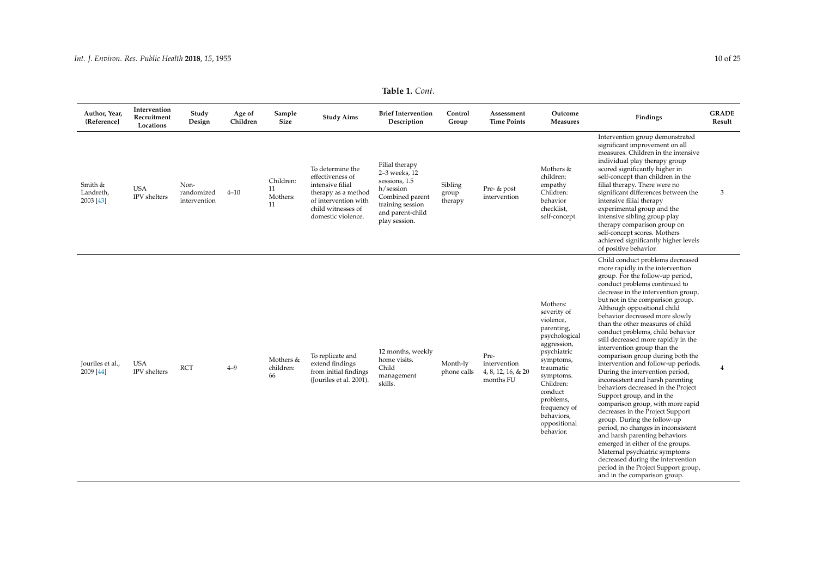| Table 1. Cont. |  |
|----------------|--|
|----------------|--|

| Author, Year,<br>{Reference]      | Intervention<br>Recruitment<br>Locations | Study<br>Design                    | Age of<br>Children | Sample<br><b>Size</b>             | <b>Study Aims</b>                                                                                                                                   | <b>Brief Intervention</b><br>Description                                                                                                  | Control<br>Group            | Assessment<br><b>Time Points</b>                        | Outcome<br><b>Measures</b>                                                                                                                                                                                                               | Findings                                                                                                                                                                                                                                                                                                                                                                                                                                                                                                                                                                                                                                                                                                                                                                                                                                                                                                                                                                                                                  | <b>GRADE</b><br>Result |
|-----------------------------------|------------------------------------------|------------------------------------|--------------------|-----------------------------------|-----------------------------------------------------------------------------------------------------------------------------------------------------|-------------------------------------------------------------------------------------------------------------------------------------------|-----------------------------|---------------------------------------------------------|------------------------------------------------------------------------------------------------------------------------------------------------------------------------------------------------------------------------------------------|---------------------------------------------------------------------------------------------------------------------------------------------------------------------------------------------------------------------------------------------------------------------------------------------------------------------------------------------------------------------------------------------------------------------------------------------------------------------------------------------------------------------------------------------------------------------------------------------------------------------------------------------------------------------------------------------------------------------------------------------------------------------------------------------------------------------------------------------------------------------------------------------------------------------------------------------------------------------------------------------------------------------------|------------------------|
| Smith &<br>Landreth,<br>2003 [43] | <b>USA</b><br>IPV shelters               | Non-<br>randomized<br>intervention | $4 - 10$           | Children:<br>11<br>Mothers:<br>11 | To determine the<br>effectiveness of<br>intensive filial<br>therapy as a method<br>of intervention with<br>child witnesses of<br>domestic violence. | Filial therapy<br>2-3 weeks, 12<br>sessions, 1.5<br>h/session<br>Combined parent<br>training session<br>and parent-child<br>play session. | Sibling<br>group<br>therapy | Pre- & post<br>intervention                             | Mothers &<br>children:<br>empathy<br>Children:<br>behavior<br>checklist,<br>self-concept.                                                                                                                                                | Intervention group demonstrated<br>significant improvement on all<br>measures. Children in the intensive<br>individual play therapy group<br>scored significantly higher in<br>self-concept than children in the<br>filial therapy. There were no<br>significant differences between the<br>intensive filial therapy<br>experimental group and the<br>intensive sibling group play<br>therapy comparison group on<br>self-concept scores. Mothers<br>achieved significantly higher levels<br>of positive behavior.                                                                                                                                                                                                                                                                                                                                                                                                                                                                                                        | 3                      |
| Jouriles et al.,<br>2009 [44]     | <b>USA</b><br><b>IPV</b> shelters        | <b>RCT</b>                         | $4 - 9$            | Mothers &<br>children:<br>66      | To replicate and<br>extend findings<br>from initial findings<br>(Jouriles et al. 2001).                                                             | 12 months, weekly<br>home visits.<br>Child<br>management<br>skills.                                                                       | Month-ly<br>phone calls     | Pre-<br>intervention<br>4, 8, 12, 16, & 20<br>months FU | Mothers:<br>severity of<br>violence,<br>parenting,<br>psychological<br>aggression,<br>psychiatric<br>symptoms,<br>traumatic<br>symptoms.<br>Children:<br>conduct<br>problems,<br>frequency of<br>behaviors,<br>oppositional<br>behavior. | Child conduct problems decreased<br>more rapidly in the intervention<br>group. For the follow-up period,<br>conduct problems continued to<br>decrease in the intervention group,<br>but not in the comparison group.<br>Although oppositional child<br>behavior decreased more slowly<br>than the other measures of child<br>conduct problems, child behavior<br>still decreased more rapidly in the<br>intervention group than the<br>comparison group during both the<br>intervention and follow-up periods.<br>During the intervention period,<br>inconsistent and harsh parenting<br>behaviors decreased in the Project<br>Support group, and in the<br>comparison group, with more rapid<br>decreases in the Project Support<br>group. During the follow-up<br>period, no changes in inconsistent<br>and harsh parenting behaviors<br>emerged in either of the groups.<br>Maternal psychiatric symptoms<br>decreased during the intervention<br>period in the Project Support group,<br>and in the comparison group. | $\overline{4}$         |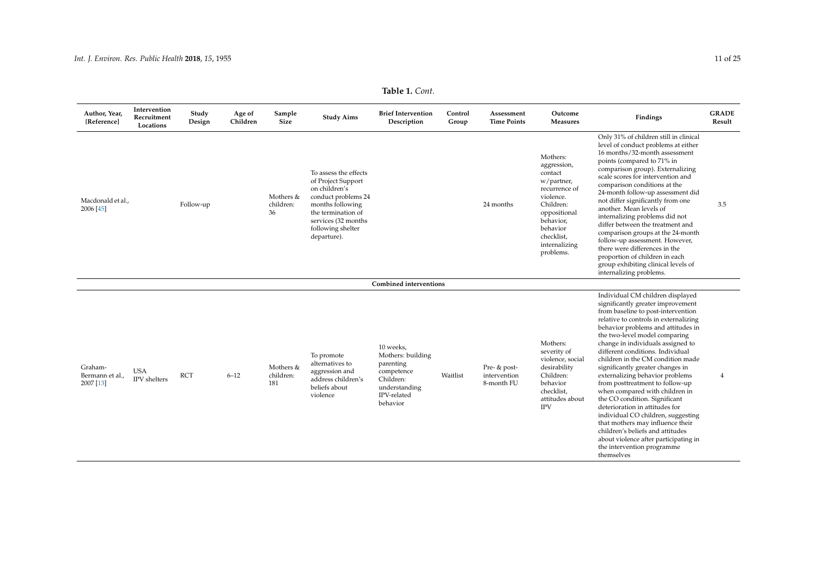| Table 1. Cont. |  |
|----------------|--|
|----------------|--|

| Author, Year,<br>{Reference]            | Intervention<br>Recruitment<br>Locations | Study<br>Design | Age of<br>Children | Sample<br>Size                | <b>Study Aims</b>                                                                                                                                                                        | <b>Brief Intervention</b><br>Description                                                                           | Control<br>Group | Assessment<br><b>Time Points</b>           | Outcome<br><b>Measures</b>                                                                                                                                                       | Findings                                                                                                                                                                                                                                                                                                                                                                                                                                                                                                                                                                                                                                                                                                                                                    | <b>GRADE</b><br>Result |
|-----------------------------------------|------------------------------------------|-----------------|--------------------|-------------------------------|------------------------------------------------------------------------------------------------------------------------------------------------------------------------------------------|--------------------------------------------------------------------------------------------------------------------|------------------|--------------------------------------------|----------------------------------------------------------------------------------------------------------------------------------------------------------------------------------|-------------------------------------------------------------------------------------------------------------------------------------------------------------------------------------------------------------------------------------------------------------------------------------------------------------------------------------------------------------------------------------------------------------------------------------------------------------------------------------------------------------------------------------------------------------------------------------------------------------------------------------------------------------------------------------------------------------------------------------------------------------|------------------------|
| Macdonald et al<br>2006 [45]            |                                          | Follow-up       |                    | Mothers &<br>children:<br>36  | To assess the effects<br>of Project Support<br>on children's<br>conduct problems 24<br>months following<br>the termination of<br>services (32 months<br>following shelter<br>departure). |                                                                                                                    |                  | 24 months                                  | Mothers:<br>aggression,<br>contact<br>w/partner,<br>recurrence of<br>violence.<br>Children:<br>oppositional<br>behavior,<br>behavior<br>checklist,<br>internalizing<br>problems. | Only 31% of children still in clinical<br>level of conduct problems at either<br>16 months/32-month assessment<br>points (compared to 71% in<br>comparison group). Externalizing<br>scale scores for intervention and<br>comparison conditions at the<br>24-month follow-up assessment did<br>not differ significantly from one<br>another. Mean levels of<br>internalizing problems did not<br>differ between the treatment and<br>comparison groups at the 24-month<br>follow-up assessment. However,<br>there were differences in the<br>proportion of children in each<br>group exhibiting clinical levels of<br>internalizing problems.                                                                                                                | 3.5                    |
|                                         |                                          |                 |                    |                               |                                                                                                                                                                                          | <b>Combined interventions</b>                                                                                      |                  |                                            |                                                                                                                                                                                  |                                                                                                                                                                                                                                                                                                                                                                                                                                                                                                                                                                                                                                                                                                                                                             |                        |
| Graham-<br>Bermann et al.,<br>2007 [13] | <b>USA</b><br>IPV shelters               | <b>RCT</b>      | $6 - 12$           | Mothers &<br>children:<br>181 | To promote<br>alternatives to<br>aggression and<br>address children's<br>beliefs about<br>violence                                                                                       | 10 weeks,<br>Mothers: building<br>parenting<br>competence<br>Children:<br>understanding<br>IPV-related<br>behavior | Waitlist         | Pre- & post-<br>intervention<br>8-month FU | Mothers:<br>severity of<br>violence, social<br>desirability<br>Children:<br>behavior<br>checklist,<br>attitudes about<br><b>IPV</b>                                              | Individual CM children displayed<br>significantly greater improvement<br>from baseline to post-intervention<br>relative to controls in externalizing<br>behavior problems and attitudes in<br>the two-level model comparing<br>change in individuals assigned to<br>different conditions. Individual<br>children in the CM condition made<br>significantly greater changes in<br>externalizing behavior problems<br>from posttreatment to follow-up<br>when compared with children in<br>the CO condition. Significant<br>deterioration in attitudes for<br>individual CO children, suggesting<br>that mothers may influence their<br>children's beliefs and attitudes<br>about violence after participating in<br>the intervention programme<br>themselves | $\overline{4}$         |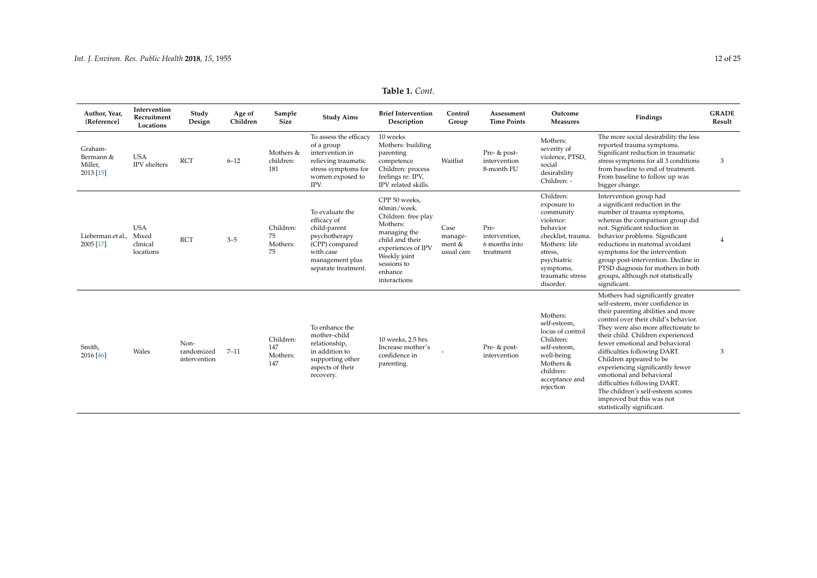| Table 1. Cont. |  |
|----------------|--|
|----------------|--|

| Author, Year,<br>{Reference]                 | Intervention<br>Recruitment<br>Locations     | Study<br>Design                    | Age of<br>Children | Sample<br>Size                      | <b>Study Aims</b>                                                                                                                        | <b>Brief Intervention</b><br>Description                                                                                                                                           | Control<br>Group                        | Assessment<br><b>Time Points</b>                    | Outcome<br><b>Measures</b>                                                                                                                                                   | Findings                                                                                                                                                                                                                                                                                                                                                                                                                                                                                                                    | <b>GRADE</b><br>Result |
|----------------------------------------------|----------------------------------------------|------------------------------------|--------------------|-------------------------------------|------------------------------------------------------------------------------------------------------------------------------------------|------------------------------------------------------------------------------------------------------------------------------------------------------------------------------------|-----------------------------------------|-----------------------------------------------------|------------------------------------------------------------------------------------------------------------------------------------------------------------------------------|-----------------------------------------------------------------------------------------------------------------------------------------------------------------------------------------------------------------------------------------------------------------------------------------------------------------------------------------------------------------------------------------------------------------------------------------------------------------------------------------------------------------------------|------------------------|
| Graham-<br>Bermann &<br>Miller,<br>2013 [15] | <b>USA</b><br><b>IPV</b> shelters            | <b>RCT</b>                         | $6 - 12$           | Mothers &<br>children:<br>181       | To assess the efficacy<br>of a group<br>intervention in<br>relieving traumatic<br>stress symptoms for<br>women exposed to<br>IPV.        | 10 weeks<br>Mothers: building<br>parenting<br>competence<br>Children: process<br>feelings re: IPV,<br>IPV related skills.                                                          | Waitlist                                | Pre- & post-<br>intervention<br>8-month FU          | Mothers:<br>severity of<br>violence, PTSD,<br>social<br>desirability<br>Children: -                                                                                          | The more social desirability the less<br>reported trauma symptoms.<br>Significant reduction in traumatic<br>stress symptoms for all 3 conditions<br>from baseline to end of treatment.<br>From baseline to follow up was<br>bigger change.                                                                                                                                                                                                                                                                                  | 3                      |
| Lieberman et al.,<br>2005 [17]               | <b>USA</b><br>Mixed<br>clinical<br>locations | <b>RCT</b>                         | $3 - 5$            | Children:<br>75<br>Mothers:<br>75   | To evaluate the<br>efficacy of<br>child-parent<br>psychotherapy<br>(CPP) compared<br>with case<br>management plus<br>separate treatment. | CPP 50 weeks,<br>60min/week.<br>Children: free play<br>Mothers:<br>managing the<br>child and their<br>experiences of IPV<br>Weekly joint<br>sessions to<br>enhance<br>interactions | Case<br>manage-<br>ment &<br>usual care | Pre-<br>intervention.<br>6 months into<br>treatment | Children:<br>exposure to<br>community<br>violence:<br>behavior<br>checklist, trauma<br>Mothers: life<br>stress,<br>psychiatric<br>symptoms,<br>traumatic stress<br>disorder. | Intervention group had<br>a significant reduction in the<br>number of trauma symptoms,<br>whereas the comparison group did<br>not. Significant reduction in<br>behavior problems. Significant<br>reductions in maternal avoidant<br>symptoms for the intervention<br>group post-intervention. Decline in<br>PTSD diagnosis for mothers in both<br>groups, although not statistically<br>significant.                                                                                                                        |                        |
| Smith,<br>2016 [46]                          | Wales                                        | Non-<br>randomized<br>intervention | $7 - 11$           | Children:<br>147<br>Mothers:<br>147 | To enhance the<br>mother-child<br>relationship,<br>in addition to<br>supporting other<br>aspects of their<br>recovery.                   | 10 weeks, 2.5 hrs.<br>Increase mother's<br>confidence in<br>parenting.                                                                                                             |                                         | Pre- & post-<br>intervention                        | Mothers:<br>self-esteem.<br>locus of control<br>Children:<br>self-esteem,<br>well-being<br>Mothers &<br>children:<br>acceptance and<br>rejection                             | Mothers had significantly greater<br>self-esteem, more confidence in<br>their parenting abilities and more<br>control over their child's behavior.<br>They were also more affectionate to<br>their child. Children experienced<br>fewer emotional and behavioral<br>difficulties following DART.<br>Children appeared to be<br>experiencing significantly fewer<br>emotional and behavioral<br>difficulties following DART.<br>The children's self-esteem scores<br>improved but this was not<br>statistically significant. | 3                      |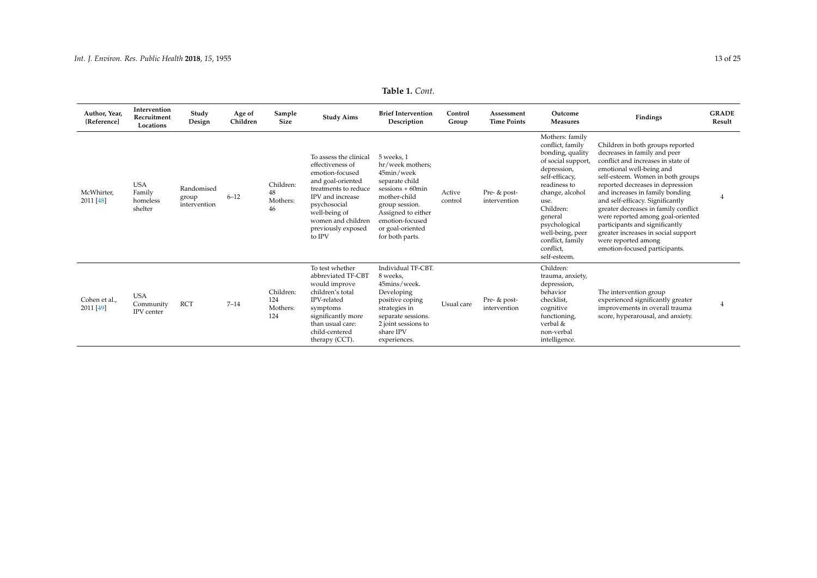| Author, Year,<br>{Reference] | Intervention<br>Recruitment<br>Locations     | Study<br>Design                     | Age of<br>Children | Sample<br><b>Size</b>               | <b>Study Aims</b>                                                                                                                                                                                                     | <b>Brief Intervention</b><br>Description                                                                                                                                                                   | Control<br>Group  | Assessment<br><b>Time Points</b> | Outcome<br><b>Measures</b>                                                                                                                                                                                                                                              | Findings                                                                                                                                                                                                                                                                                                                                                                                                                                                                                         | <b>GRADE</b><br>Result |
|------------------------------|----------------------------------------------|-------------------------------------|--------------------|-------------------------------------|-----------------------------------------------------------------------------------------------------------------------------------------------------------------------------------------------------------------------|------------------------------------------------------------------------------------------------------------------------------------------------------------------------------------------------------------|-------------------|----------------------------------|-------------------------------------------------------------------------------------------------------------------------------------------------------------------------------------------------------------------------------------------------------------------------|--------------------------------------------------------------------------------------------------------------------------------------------------------------------------------------------------------------------------------------------------------------------------------------------------------------------------------------------------------------------------------------------------------------------------------------------------------------------------------------------------|------------------------|
| McWhirter,<br>2011 [48]      | <b>USA</b><br>Family<br>homeless<br>shelter  | Randomised<br>group<br>intervention | $6 - 12$           | Children:<br>48<br>Mothers:<br>46   | To assess the clinical<br>effectiveness of<br>emotion-focused<br>and goal-oriented<br>treatments to reduce<br>IPV and increase<br>psychosocial<br>well-being of<br>women and children<br>previously exposed<br>to IPV | 5 weeks. 1<br>hr/week mothers;<br>45min/week<br>separate child<br>$s$ essions + 60 $min$<br>mother-child<br>group session.<br>Assigned to either<br>emotion-focused<br>or goal-oriented<br>for both parts. | Active<br>control | Pre- & post-<br>intervention     | Mothers: family<br>conflict, family<br>bonding, quality<br>of social support,<br>depression,<br>self-efficacy,<br>readiness to<br>change, alcohol<br>use.<br>Children:<br>general<br>psychological<br>well-being, peer<br>conflict, family<br>conflict,<br>self-esteem. | Children in both groups reported<br>decreases in family and peer<br>conflict and increases in state of<br>emotional well-being and<br>self-esteem. Women in both groups<br>reported decreases in depression<br>and increases in family bonding<br>and self-efficacy. Significantly<br>greater decreases in family conflict<br>were reported among goal-oriented<br>participants and significantly<br>greater increases in social support<br>were reported among<br>emotion-focused participants. | 4                      |
| Cohen et al.,<br>2011 [49]   | <b>USA</b><br>Community<br><b>IPV</b> center | <b>RCT</b>                          | $7 - 14$           | Children:<br>124<br>Mothers:<br>124 | To test whether<br>abbreviated TF-CBT<br>would improve<br>children's total<br>IPV-related<br>symptoms<br>significantly more<br>than usual care:<br>child-centered<br>therapy (CCT).                                   | Individual TF-CBT.<br>8 weeks,<br>45mins/week.<br>Developing<br>positive coping<br>strategies in<br>separate sessions.<br>2 joint sessions to<br>share IPV<br>experiences.                                 | Usual care        | Pre- & post-<br>intervention     | Children:<br>trauma, anxiety,<br>depression,<br>behavior<br>checklist,<br>cognitive<br>functioning,<br>verbal &<br>non-verbal<br>intelligence.                                                                                                                          | The intervention group<br>experienced significantly greater<br>improvements in overall trauma<br>score, hyperarousal, and anxiety.                                                                                                                                                                                                                                                                                                                                                               | $\overline{4}$         |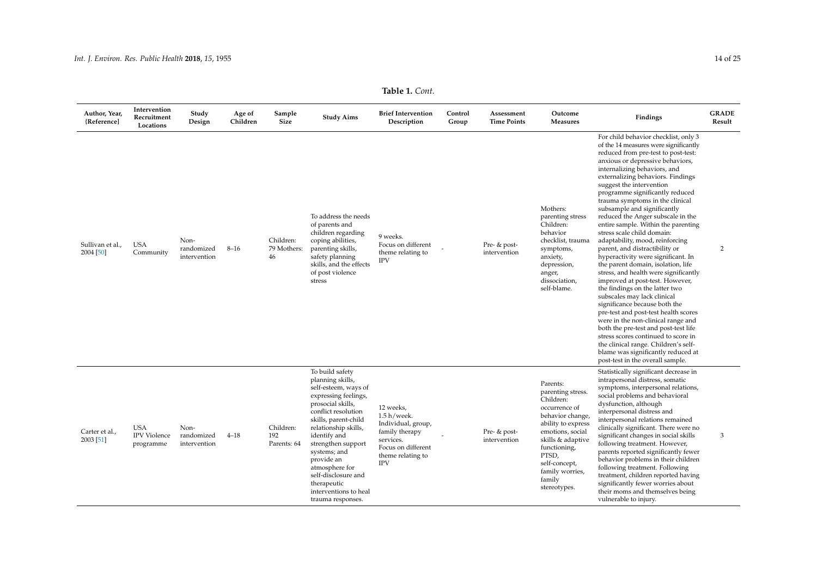| Author, Year,<br>{Reference]  | Intervention<br>Recruitment<br>Locations       | Study<br>Design                    | Age of<br>Children | Sample<br><b>Size</b>           | <b>Study Aims</b>                                                                                                                                                                                                                                                                                                                                         | <b>Brief Intervention</b><br>Description                                                                                                  | Control<br>Group | Assessment<br><b>Time Points</b> | Outcome<br><b>Measures</b>                                                                                                                                                                                                            | Findings                                                                                                                                                                                                                                                                                                                                                                                                                                                                                                                                                                                                                                                                                                                                                                                                                                                                                                                                                                                                                                                                               | <b>GRADE</b><br>Result |
|-------------------------------|------------------------------------------------|------------------------------------|--------------------|---------------------------------|-----------------------------------------------------------------------------------------------------------------------------------------------------------------------------------------------------------------------------------------------------------------------------------------------------------------------------------------------------------|-------------------------------------------------------------------------------------------------------------------------------------------|------------------|----------------------------------|---------------------------------------------------------------------------------------------------------------------------------------------------------------------------------------------------------------------------------------|----------------------------------------------------------------------------------------------------------------------------------------------------------------------------------------------------------------------------------------------------------------------------------------------------------------------------------------------------------------------------------------------------------------------------------------------------------------------------------------------------------------------------------------------------------------------------------------------------------------------------------------------------------------------------------------------------------------------------------------------------------------------------------------------------------------------------------------------------------------------------------------------------------------------------------------------------------------------------------------------------------------------------------------------------------------------------------------|------------------------|
| Sullivan et al.,<br>2004 [50] | <b>USA</b><br>Community                        | Non-<br>randomized<br>intervention | $8 - 16$           | Children:<br>79 Mothers:<br>46  | To address the needs<br>of parents and<br>children regarding<br>coping abilities,<br>parenting skills,<br>safety planning<br>skills, and the effects<br>of post violence<br>stress                                                                                                                                                                        | 9 weeks.<br>Focus on different<br>theme relating to<br><b>IPV</b>                                                                         |                  | Pre- & post-<br>intervention     | Mothers:<br>parenting stress<br>Children:<br>behavior<br>checklist, trauma<br>symptoms,<br>anxiety,<br>depression,<br>anger,<br>dissociation,<br>self-blame.                                                                          | For child behavior checklist, only 3<br>of the 14 measures were significantly<br>reduced from pre-test to post-test:<br>anxious or depressive behaviors,<br>internalizing behaviors, and<br>externalizing behaviors. Findings<br>suggest the intervention<br>programme significantly reduced<br>trauma symptoms in the clinical<br>subsample and significantly<br>reduced the Anger subscale in the<br>entire sample. Within the parenting<br>stress scale child domain:<br>adaptability, mood, reinforcing<br>parent, and distractibility or<br>hyperactivity were significant. In<br>the parent domain, isolation, life<br>stress, and health were significantly<br>improved at post-test. However,<br>the findings on the latter two<br>subscales may lack clinical<br>significance because both the<br>pre-test and post-test health scores<br>were in the non-clinical range and<br>both the pre-test and post-test life<br>stress scores continued to score in<br>the clinical range. Children's self-<br>blame was significantly reduced at<br>post-test in the overall sample. | 2                      |
| Carter et al.,<br>2003 [51]   | <b>USA</b><br><b>IPV</b> Violence<br>programme | Non-<br>randomized<br>intervention | $4 - 18$           | Children:<br>192<br>Parents: 64 | To build safety<br>planning skills,<br>self-esteem, ways of<br>expressing feelings,<br>prosocial skills,<br>conflict resolution<br>skills, parent-child<br>relationship skills,<br>identify and<br>strengthen support<br>systems; and<br>provide an<br>atmosphere for<br>self-disclosure and<br>therapeutic<br>interventions to heal<br>trauma responses. | 12 weeks,<br>$1.5 h$ /week.<br>Individual, group,<br>family therapy<br>services.<br>Focus on different<br>theme relating to<br><b>IPV</b> |                  | Pre- & post-<br>intervention     | Parents:<br>parenting stress.<br>Children:<br>occurrence of<br>behavior change,<br>ability to express<br>emotions, social<br>skills & adaptive<br>functioning,<br>PTSD,<br>self-concept,<br>family worries,<br>family<br>stereotypes. | Statistically significant decrease in<br>intrapersonal distress, somatic<br>symptoms, interpersonal relations,<br>social problems and behavioral<br>dysfunction, although<br>interpersonal distress and<br>interpersonal relations remained<br>clinically significant. There were no<br>significant changes in social skills<br>following treatment. However,<br>parents reported significantly fewer<br>behavior problems in their children<br>following treatment. Following<br>treatment, children reported having<br>significantly fewer worries about<br>their moms and themselves being<br>vulnerable to injury.                                                                                                                                                                                                                                                                                                                                                                                                                                                                 | 3                      |

**Table 1.** *Cont.*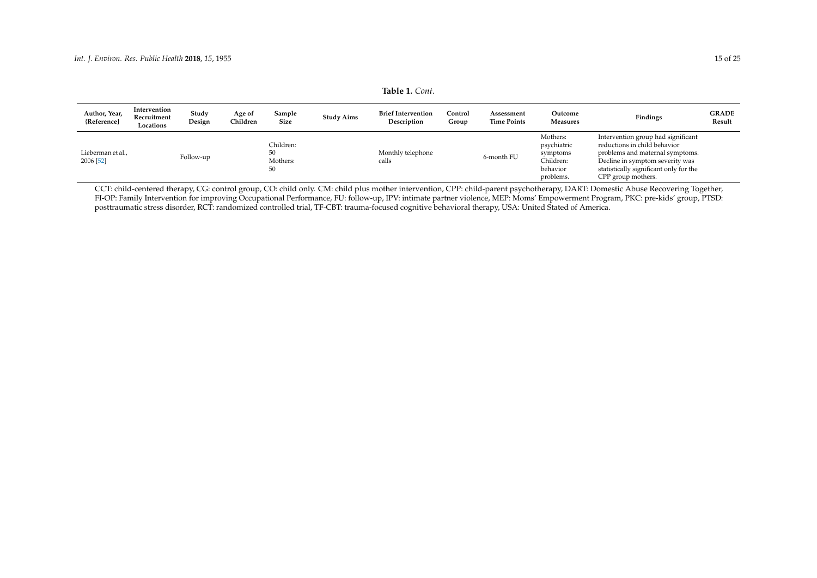| Table 1. Cont. |
|----------------|
|----------------|

| Author, Year,<br>{Reference]   | Intervention<br>Recruitment<br>Locations | Study<br>Design | Age of<br>Children | Sample<br>Size                    | <b>Study Aims</b> | <b>Brief Intervention</b><br>Description | Control<br>Group | Assessment<br><b>Time Points</b> | Outcome<br><b>Measures</b>                                                | Findings                                                                                                                                                                                                 | <b>GRADE</b><br>Result |
|--------------------------------|------------------------------------------|-----------------|--------------------|-----------------------------------|-------------------|------------------------------------------|------------------|----------------------------------|---------------------------------------------------------------------------|----------------------------------------------------------------------------------------------------------------------------------------------------------------------------------------------------------|------------------------|
| Lieberman et al.,<br>2006 [52] |                                          | Follow-up       |                    | Children:<br>50<br>Mothers:<br>50 |                   | Monthly telephone<br>calls               |                  | 6-month FU                       | Mothers:<br>psychiatric<br>symptoms<br>Children:<br>behavior<br>problems. | Intervention group had significant<br>reductions in child behavior<br>problems and maternal symptoms.<br>Decline in symptom severity was<br>statistically significant only for the<br>CPP group mothers. |                        |

CCT: child-centered therapy, CG: control group, CO: child only. CM: child plus mother intervention, CPP: child-parent psychotherapy, DART: Domestic Abuse Recovering Together, FI-OP: Family Intervention for improving Occupational Performance, FU: follow-up, IPV: intimate partner violence, MEP: Moms' Empowerment Program, PKC: pre-kids' group, PTSD: posttraumatic stress disorder, RCT: randomized controlled trial, TF-CBT: trauma-focused cognitive behavioral therapy, USA: United Stated of America.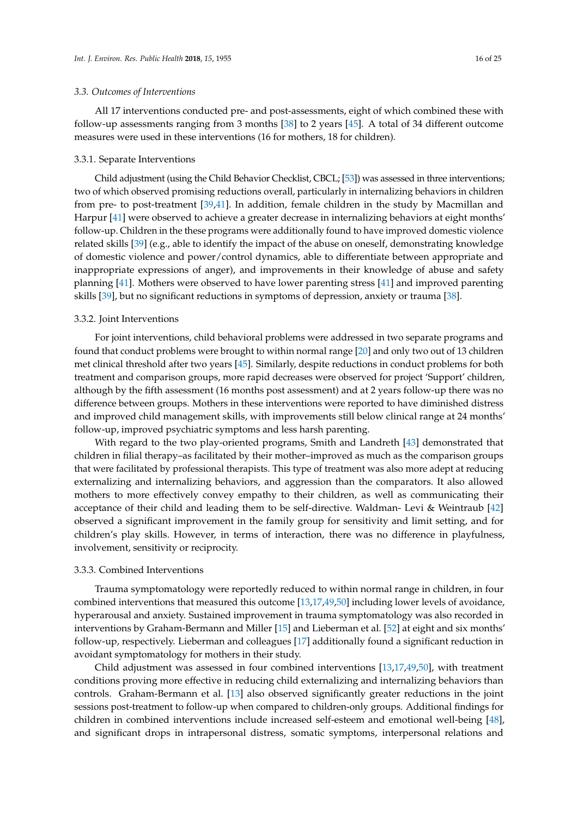## *3.3. Outcomes of Interventions*

All 17 interventions conducted pre- and post-assessments, eight of which combined these with follow-up assessments ranging from 3 months [\[38\]](#page-23-10) to 2 years [\[45\]](#page-23-15). A total of 34 different outcome measures were used in these interventions (16 for mothers, 18 for children).

## 3.3.1. Separate Interventions

Child adjustment (using the Child Behavior Checklist, CBCL; [\[53\]](#page-24-9)) was assessed in three interventions; two of which observed promising reductions overall, particularly in internalizing behaviors in children from pre- to post-treatment [\[39](#page-23-27)[,41\]](#page-23-11). In addition, female children in the study by Macmillan and Harpur [\[41\]](#page-23-11) were observed to achieve a greater decrease in internalizing behaviors at eight months' follow-up. Children in the these programs were additionally found to have improved domestic violence related skills [\[39\]](#page-23-27) (e.g., able to identify the impact of the abuse on oneself, demonstrating knowledge of domestic violence and power/control dynamics, able to differentiate between appropriate and inappropriate expressions of anger), and improvements in their knowledge of abuse and safety planning [\[41\]](#page-23-11). Mothers were observed to have lower parenting stress [\[41\]](#page-23-11) and improved parenting skills [\[39\]](#page-23-27), but no significant reductions in symptoms of depression, anxiety or trauma [\[38\]](#page-23-10).

#### 3.3.2. Joint Interventions

For joint interventions, child behavioral problems were addressed in two separate programs and found that conduct problems were brought to within normal range [\[20\]](#page-22-15) and only two out of 13 children met clinical threshold after two years [\[45\]](#page-23-15). Similarly, despite reductions in conduct problems for both treatment and comparison groups, more rapid decreases were observed for project 'Support' children, although by the fifth assessment (16 months post assessment) and at 2 years follow-up there was no difference between groups. Mothers in these interventions were reported to have diminished distress and improved child management skills, with improvements still below clinical range at 24 months' follow-up, improved psychiatric symptoms and less harsh parenting.

With regard to the two play-oriented programs, Smith and Landreth [\[43\]](#page-23-13) demonstrated that children in filial therapy–as facilitated by their mother–improved as much as the comparison groups that were facilitated by professional therapists. This type of treatment was also more adept at reducing externalizing and internalizing behaviors, and aggression than the comparators. It also allowed mothers to more effectively convey empathy to their children, as well as communicating their acceptance of their child and leading them to be self-directive. Waldman- Levi & Weintraub [\[42\]](#page-23-12) observed a significant improvement in the family group for sensitivity and limit setting, and for children's play skills. However, in terms of interaction, there was no difference in playfulness, involvement, sensitivity or reciprocity.

## 3.3.3. Combined Interventions

Trauma symptomatology were reportedly reduced to within normal range in children, in four combined interventions that measured this outcome [\[13](#page-22-8)[,17](#page-22-12)[,49](#page-24-1)[,50\]](#page-24-2) including lower levels of avoidance, hyperarousal and anxiety. Sustained improvement in trauma symptomatology was also recorded in interventions by Graham-Bermann and Miller [\[15\]](#page-22-10) and Lieberman et al. [\[52\]](#page-24-10) at eight and six months' follow-up, respectively. Lieberman and colleagues [\[17\]](#page-22-12) additionally found a significant reduction in avoidant symptomatology for mothers in their study.

Child adjustment was assessed in four combined interventions [\[13,](#page-22-8)[17](#page-22-12)[,49](#page-24-1)[,50\]](#page-24-2), with treatment conditions proving more effective in reducing child externalizing and internalizing behaviors than controls. Graham-Bermann et al. [\[13\]](#page-22-8) also observed significantly greater reductions in the joint sessions post-treatment to follow-up when compared to children-only groups. Additional findings for children in combined interventions include increased self-esteem and emotional well-being [\[48\]](#page-24-0), and significant drops in intrapersonal distress, somatic symptoms, interpersonal relations and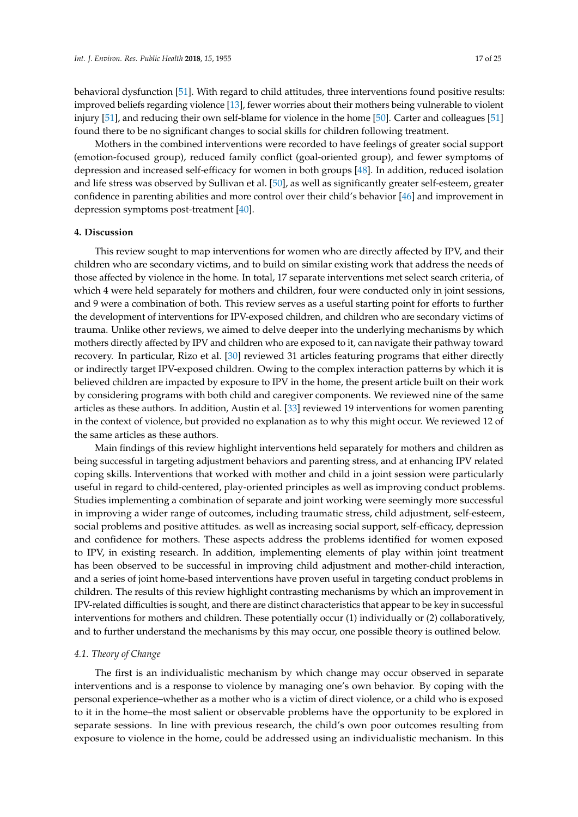behavioral dysfunction [\[51\]](#page-24-3). With regard to child attitudes, three interventions found positive results: improved beliefs regarding violence [\[13\]](#page-22-8), fewer worries about their mothers being vulnerable to violent injury [\[51\]](#page-24-3), and reducing their own self-blame for violence in the home [\[50\]](#page-24-2). Carter and colleagues [\[51\]](#page-24-3) found there to be no significant changes to social skills for children following treatment.

Mothers in the combined interventions were recorded to have feelings of greater social support (emotion-focused group), reduced family conflict (goal-oriented group), and fewer symptoms of depression and increased self-efficacy for women in both groups [\[48\]](#page-24-0). In addition, reduced isolation and life stress was observed by Sullivan et al. [\[50\]](#page-24-2), as well as significantly greater self-esteem, greater confidence in parenting abilities and more control over their child's behavior [\[46\]](#page-23-16) and improvement in depression symptoms post-treatment [\[40\]](#page-23-28).

# **4. Discussion**

This review sought to map interventions for women who are directly affected by IPV, and their children who are secondary victims, and to build on similar existing work that address the needs of those affected by violence in the home. In total, 17 separate interventions met select search criteria, of which 4 were held separately for mothers and children, four were conducted only in joint sessions, and 9 were a combination of both. This review serves as a useful starting point for efforts to further the development of interventions for IPV-exposed children, and children who are secondary victims of trauma. Unlike other reviews, we aimed to delve deeper into the underlying mechanisms by which mothers directly affected by IPV and children who are exposed to it, can navigate their pathway toward recovery. In particular, Rizo et al. [\[30\]](#page-23-3) reviewed 31 articles featuring programs that either directly or indirectly target IPV-exposed children. Owing to the complex interaction patterns by which it is believed children are impacted by exposure to IPV in the home, the present article built on their work by considering programs with both child and caregiver components. We reviewed nine of the same articles as these authors. In addition, Austin et al. [\[33\]](#page-23-6) reviewed 19 interventions for women parenting in the context of violence, but provided no explanation as to why this might occur. We reviewed 12 of the same articles as these authors.

Main findings of this review highlight interventions held separately for mothers and children as being successful in targeting adjustment behaviors and parenting stress, and at enhancing IPV related coping skills. Interventions that worked with mother and child in a joint session were particularly useful in regard to child-centered, play-oriented principles as well as improving conduct problems. Studies implementing a combination of separate and joint working were seemingly more successful in improving a wider range of outcomes, including traumatic stress, child adjustment, self-esteem, social problems and positive attitudes. as well as increasing social support, self-efficacy, depression and confidence for mothers. These aspects address the problems identified for women exposed to IPV, in existing research. In addition, implementing elements of play within joint treatment has been observed to be successful in improving child adjustment and mother-child interaction, and a series of joint home-based interventions have proven useful in targeting conduct problems in children. The results of this review highlight contrasting mechanisms by which an improvement in IPV-related difficulties is sought, and there are distinct characteristics that appear to be key in successful interventions for mothers and children. These potentially occur (1) individually or (2) collaboratively, and to further understand the mechanisms by this may occur, one possible theory is outlined below.

## *4.1. Theory of Change*

The first is an individualistic mechanism by which change may occur observed in separate interventions and is a response to violence by managing one's own behavior. By coping with the personal experience–whether as a mother who is a victim of direct violence, or a child who is exposed to it in the home–the most salient or observable problems have the opportunity to be explored in separate sessions. In line with previous research, the child's own poor outcomes resulting from exposure to violence in the home, could be addressed using an individualistic mechanism. In this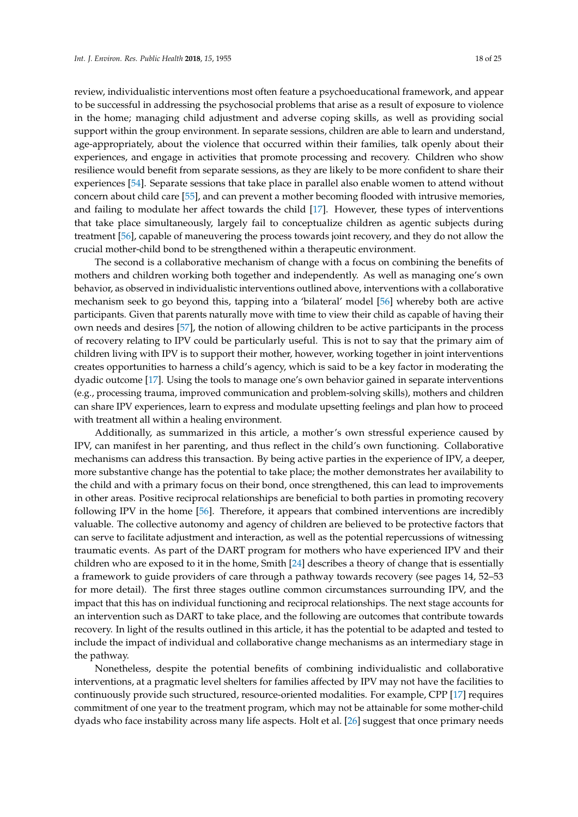review, individualistic interventions most often feature a psychoeducational framework, and appear to be successful in addressing the psychosocial problems that arise as a result of exposure to violence in the home; managing child adjustment and adverse coping skills, as well as providing social support within the group environment. In separate sessions, children are able to learn and understand, age-appropriately, about the violence that occurred within their families, talk openly about their experiences, and engage in activities that promote processing and recovery. Children who show resilience would benefit from separate sessions, as they are likely to be more confident to share their experiences [\[54\]](#page-24-11). Separate sessions that take place in parallel also enable women to attend without concern about child care [\[55\]](#page-24-12), and can prevent a mother becoming flooded with intrusive memories, and failing to modulate her affect towards the child [\[17\]](#page-22-12). However, these types of interventions that take place simultaneously, largely fail to conceptualize children as agentic subjects during treatment [\[56\]](#page-24-13), capable of maneuvering the process towards joint recovery, and they do not allow the crucial mother-child bond to be strengthened within a therapeutic environment.

The second is a collaborative mechanism of change with a focus on combining the benefits of mothers and children working both together and independently. As well as managing one's own behavior, as observed in individualistic interventions outlined above, interventions with a collaborative mechanism seek to go beyond this, tapping into a 'bilateral' model [\[56\]](#page-24-13) whereby both are active participants. Given that parents naturally move with time to view their child as capable of having their own needs and desires [\[57\]](#page-24-14), the notion of allowing children to be active participants in the process of recovery relating to IPV could be particularly useful. This is not to say that the primary aim of children living with IPV is to support their mother, however, working together in joint interventions creates opportunities to harness a child's agency, which is said to be a key factor in moderating the dyadic outcome [\[17\]](#page-22-12). Using the tools to manage one's own behavior gained in separate interventions (e.g., processing trauma, improved communication and problem-solving skills), mothers and children can share IPV experiences, learn to express and modulate upsetting feelings and plan how to proceed with treatment all within a healing environment.

Additionally, as summarized in this article, a mother's own stressful experience caused by IPV, can manifest in her parenting, and thus reflect in the child's own functioning. Collaborative mechanisms can address this transaction. By being active parties in the experience of IPV, a deeper, more substantive change has the potential to take place; the mother demonstrates her availability to the child and with a primary focus on their bond, once strengthened, this can lead to improvements in other areas. Positive reciprocal relationships are beneficial to both parties in promoting recovery following IPV in the home [\[56\]](#page-24-13). Therefore, it appears that combined interventions are incredibly valuable. The collective autonomy and agency of children are believed to be protective factors that can serve to facilitate adjustment and interaction, as well as the potential repercussions of witnessing traumatic events. As part of the DART program for mothers who have experienced IPV and their children who are exposed to it in the home, Smith [\[24\]](#page-22-18) describes a theory of change that is essentially a framework to guide providers of care through a pathway towards recovery (see pages 14, 52–53 for more detail). The first three stages outline common circumstances surrounding IPV, and the impact that this has on individual functioning and reciprocal relationships. The next stage accounts for an intervention such as DART to take place, and the following are outcomes that contribute towards recovery. In light of the results outlined in this article, it has the potential to be adapted and tested to include the impact of individual and collaborative change mechanisms as an intermediary stage in the pathway.

Nonetheless, despite the potential benefits of combining individualistic and collaborative interventions, at a pragmatic level shelters for families affected by IPV may not have the facilities to continuously provide such structured, resource-oriented modalities. For example, CPP [\[17\]](#page-22-12) requires commitment of one year to the treatment program, which may not be attainable for some mother-child dyads who face instability across many life aspects. Holt et al. [\[26\]](#page-22-20) suggest that once primary needs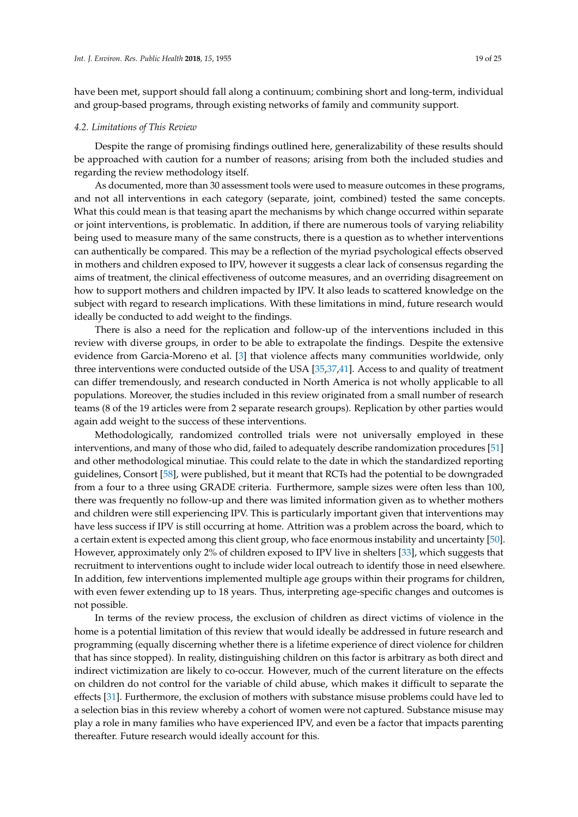have been met, support should fall along a continuum; combining short and long-term, individual and group-based programs, through existing networks of family and community support.

## *4.2. Limitations of This Review*

Despite the range of promising findings outlined here, generalizability of these results should be approached with caution for a number of reasons; arising from both the included studies and regarding the review methodology itself.

As documented, more than 30 assessment tools were used to measure outcomes in these programs, and not all interventions in each category (separate, joint, combined) tested the same concepts. What this could mean is that teasing apart the mechanisms by which change occurred within separate or joint interventions, is problematic. In addition, if there are numerous tools of varying reliability being used to measure many of the same constructs, there is a question as to whether interventions can authentically be compared. This may be a reflection of the myriad psychological effects observed in mothers and children exposed to IPV, however it suggests a clear lack of consensus regarding the aims of treatment, the clinical effectiveness of outcome measures, and an overriding disagreement on how to support mothers and children impacted by IPV. It also leads to scattered knowledge on the subject with regard to research implications. With these limitations in mind, future research would ideally be conducted to add weight to the findings.

There is also a need for the replication and follow-up of the interventions included in this review with diverse groups, in order to be able to extrapolate the findings. Despite the extensive evidence from Garcia-Moreno et al. [\[3\]](#page-21-2) that violence affects many communities worldwide, only three interventions were conducted outside of the USA [\[35,](#page-23-8)[37](#page-23-9)[,41\]](#page-23-11). Access to and quality of treatment can differ tremendously, and research conducted in North America is not wholly applicable to all populations. Moreover, the studies included in this review originated from a small number of research teams (8 of the 19 articles were from 2 separate research groups). Replication by other parties would again add weight to the success of these interventions.

Methodologically, randomized controlled trials were not universally employed in these interventions, and many of those who did, failed to adequately describe randomization procedures [\[51\]](#page-24-3) and other methodological minutiae. This could relate to the date in which the standardized reporting guidelines, Consort [\[58\]](#page-24-15), were published, but it meant that RCTs had the potential to be downgraded from a four to a three using GRADE criteria. Furthermore, sample sizes were often less than 100, there was frequently no follow-up and there was limited information given as to whether mothers and children were still experiencing IPV. This is particularly important given that interventions may have less success if IPV is still occurring at home. Attrition was a problem across the board, which to a certain extent is expected among this client group, who face enormous instability and uncertainty [\[50\]](#page-24-2). However, approximately only 2% of children exposed to IPV live in shelters [\[33\]](#page-23-6), which suggests that recruitment to interventions ought to include wider local outreach to identify those in need elsewhere. In addition, few interventions implemented multiple age groups within their programs for children, with even fewer extending up to 18 years. Thus, interpreting age-specific changes and outcomes is not possible.

In terms of the review process, the exclusion of children as direct victims of violence in the home is a potential limitation of this review that would ideally be addressed in future research and programming (equally discerning whether there is a lifetime experience of direct violence for children that has since stopped). In reality, distinguishing children on this factor is arbitrary as both direct and indirect victimization are likely to co-occur. However, much of the current literature on the effects on children do not control for the variable of child abuse, which makes it difficult to separate the effects [\[31\]](#page-23-4). Furthermore, the exclusion of mothers with substance misuse problems could have led to a selection bias in this review whereby a cohort of women were not captured. Substance misuse may play a role in many families who have experienced IPV, and even be a factor that impacts parenting thereafter. Future research would ideally account for this.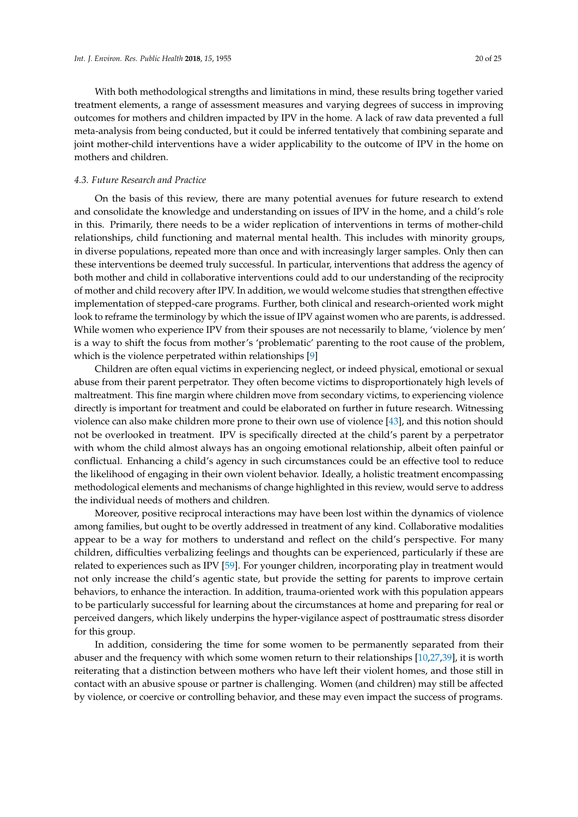With both methodological strengths and limitations in mind, these results bring together varied treatment elements, a range of assessment measures and varying degrees of success in improving outcomes for mothers and children impacted by IPV in the home. A lack of raw data prevented a full meta-analysis from being conducted, but it could be inferred tentatively that combining separate and joint mother-child interventions have a wider applicability to the outcome of IPV in the home on mothers and children.

# *4.3. Future Research and Practice*

On the basis of this review, there are many potential avenues for future research to extend and consolidate the knowledge and understanding on issues of IPV in the home, and a child's role in this. Primarily, there needs to be a wider replication of interventions in terms of mother-child relationships, child functioning and maternal mental health. This includes with minority groups, in diverse populations, repeated more than once and with increasingly larger samples. Only then can these interventions be deemed truly successful. In particular, interventions that address the agency of both mother and child in collaborative interventions could add to our understanding of the reciprocity of mother and child recovery after IPV. In addition, we would welcome studies that strengthen effective implementation of stepped-care programs. Further, both clinical and research-oriented work might look to reframe the terminology by which the issue of IPV against women who are parents, is addressed. While women who experience IPV from their spouses are not necessarily to blame, 'violence by men' is a way to shift the focus from mother's 'problematic' parenting to the root cause of the problem, which is the violence perpetrated within relationships [\[9\]](#page-22-4)

Children are often equal victims in experiencing neglect, or indeed physical, emotional or sexual abuse from their parent perpetrator. They often become victims to disproportionately high levels of maltreatment. This fine margin where children move from secondary victims, to experiencing violence directly is important for treatment and could be elaborated on further in future research. Witnessing violence can also make children more prone to their own use of violence [\[43\]](#page-23-13), and this notion should not be overlooked in treatment. IPV is specifically directed at the child's parent by a perpetrator with whom the child almost always has an ongoing emotional relationship, albeit often painful or conflictual. Enhancing a child's agency in such circumstances could be an effective tool to reduce the likelihood of engaging in their own violent behavior. Ideally, a holistic treatment encompassing methodological elements and mechanisms of change highlighted in this review, would serve to address the individual needs of mothers and children.

Moreover, positive reciprocal interactions may have been lost within the dynamics of violence among families, but ought to be overtly addressed in treatment of any kind. Collaborative modalities appear to be a way for mothers to understand and reflect on the child's perspective. For many children, difficulties verbalizing feelings and thoughts can be experienced, particularly if these are related to experiences such as IPV [\[59\]](#page-24-16). For younger children, incorporating play in treatment would not only increase the child's agentic state, but provide the setting for parents to improve certain behaviors, to enhance the interaction. In addition, trauma-oriented work with this population appears to be particularly successful for learning about the circumstances at home and preparing for real or perceived dangers, which likely underpins the hyper-vigilance aspect of posttraumatic stress disorder for this group.

In addition, considering the time for some women to be permanently separated from their abuser and the frequency with which some women return to their relationships [\[10,](#page-22-5)[27,](#page-23-0)[39\]](#page-23-27), it is worth reiterating that a distinction between mothers who have left their violent homes, and those still in contact with an abusive spouse or partner is challenging. Women (and children) may still be affected by violence, or coercive or controlling behavior, and these may even impact the success of programs.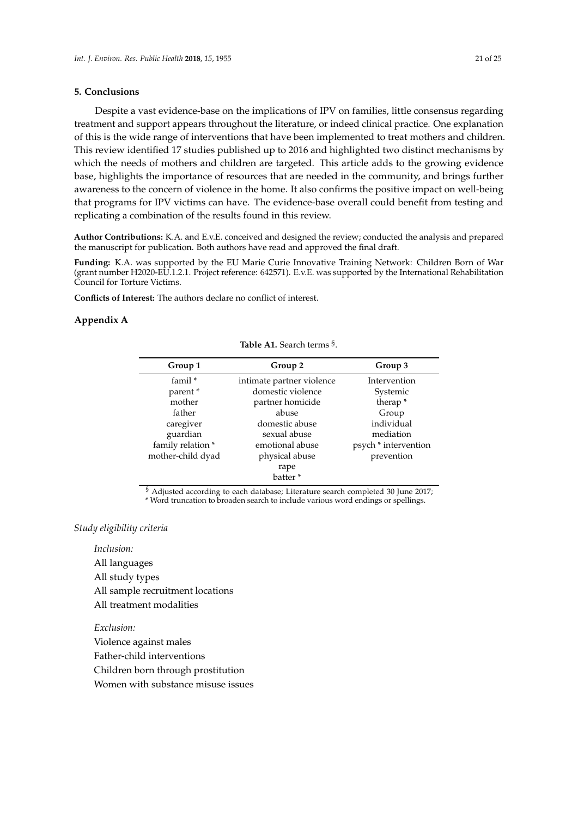# **5. Conclusions**

Despite a vast evidence-base on the implications of IPV on families, little consensus regarding treatment and support appears throughout the literature, or indeed clinical practice. One explanation of this is the wide range of interventions that have been implemented to treat mothers and children. This review identified 17 studies published up to 2016 and highlighted two distinct mechanisms by which the needs of mothers and children are targeted. This article adds to the growing evidence base, highlights the importance of resources that are needed in the community, and brings further awareness to the concern of violence in the home. It also confirms the positive impact on well-being that programs for IPV victims can have. The evidence-base overall could benefit from testing and replicating a combination of the results found in this review.

**Author Contributions:** K.A. and E.v.E. conceived and designed the review; conducted the analysis and prepared the manuscript for publication. Both authors have read and approved the final draft.

**Funding:** K.A. was supported by the EU Marie Curie Innovative Training Network: Children Born of War (grant number H2020-EU.1.2.1. Project reference: 642571). E.v.E. was supported by the International Rehabilitation Council for Torture Victims.

**Conflicts of Interest:** The authors declare no conflict of interest.

## <span id="page-20-0"></span>**Appendix A**

**Table A1.** Search terms § .

| Group 1           | Group 2                   | Group 3              |  |  |
|-------------------|---------------------------|----------------------|--|--|
| famil $*$         | intimate partner violence | Intervention         |  |  |
| parent *          | domestic violence         | Systemic             |  |  |
| mother            | partner homicide          | therap <sup>*</sup>  |  |  |
| father            | abuse                     | Group                |  |  |
| caregiver         | domestic abuse            | individual           |  |  |
| guardian          | sexual abuse              | mediation            |  |  |
| family relation * | emotional abuse           | psych * intervention |  |  |
| mother-child dyad | physical abuse            | prevention           |  |  |
|                   | rape                      |                      |  |  |
|                   | batter <sup>*</sup>       |                      |  |  |
|                   |                           |                      |  |  |

§ Adjusted according to each database; Literature search completed 30 June 2017; \* Word truncation to broaden search to include various word endings or spellings.

## *Study eligibility criteria*

*Inclusion:* All languages All study types All sample recruitment locations All treatment modalities

*Exclusion:*

Violence against males Father-child interventions Children born through prostitution

Women with substance misuse issues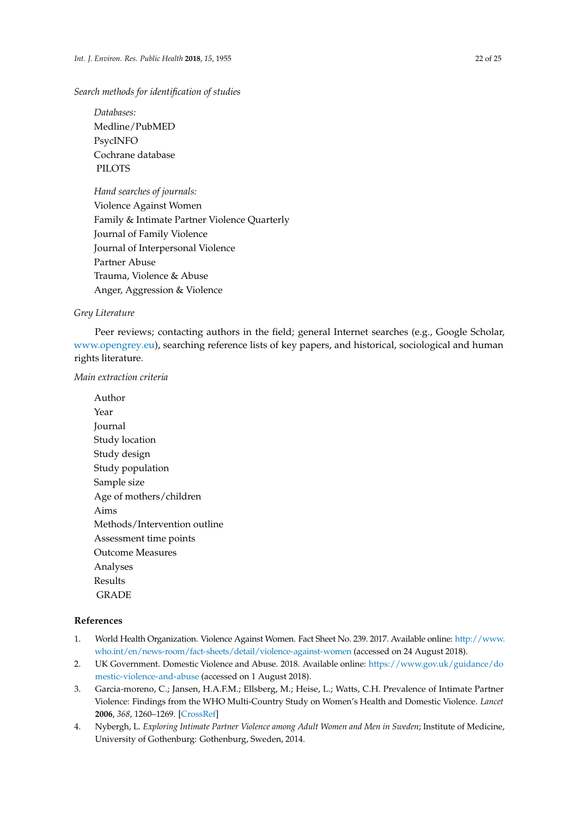# *Search methods for identification of studies*

*Databases:* Medline/PubMED PsycINFO Cochrane database PILOTS

*Hand searches of journals:* Violence Against Women Family & Intimate Partner Violence Quarterly Journal of Family Violence Journal of Interpersonal Violence Partner Abuse Trauma, Violence & Abuse Anger, Aggression & Violence

# *Grey Literature*

Peer reviews; contacting authors in the field; general Internet searches (e.g., Google Scholar, [www.opengrey.eu\)](www.opengrey.eu), searching reference lists of key papers, and historical, sociological and human rights literature.

# *Main extraction criteria*

Author Year Journal Study location Study design Study population Sample size Age of mothers/children Aims Methods/Intervention outline Assessment time points Outcome Measures Analyses Results GRADE

# **References**

- <span id="page-21-0"></span>1. World Health Organization. Violence Against Women. Fact Sheet No. 239. 2017. Available online: [http://www.](http://www.who.int/en/news-room/fact-sheets/detail/violence-against-women) [who.int/en/news-room/fact-sheets/detail/violence-against-women](http://www.who.int/en/news-room/fact-sheets/detail/violence-against-women) (accessed on 24 August 2018).
- <span id="page-21-1"></span>2. UK Government. Domestic Violence and Abuse. 2018. Available online: [https://www.gov.uk/guidance/do](https://www.gov.uk/guidance/domestic-violence-and-abuse) [mestic-violence-and-abuse](https://www.gov.uk/guidance/domestic-violence-and-abuse) (accessed on 1 August 2018).
- <span id="page-21-2"></span>3. Garcia-moreno, C.; Jansen, H.A.F.M.; Ellsberg, M.; Heise, L.; Watts, C.H. Prevalence of Intimate Partner Violence: Findings from the WHO Multi-Country Study on Women's Health and Domestic Violence. *Lancet* **2006**, *368*, 1260–1269. [\[CrossRef\]](http://dx.doi.org/10.1016/S0140-6736(06)69523-8)
- <span id="page-21-3"></span>4. Nybergh, L. *Exploring Intimate Partner Violence among Adult Women and Men in Sweden*; Institute of Medicine, University of Gothenburg: Gothenburg, Sweden, 2014.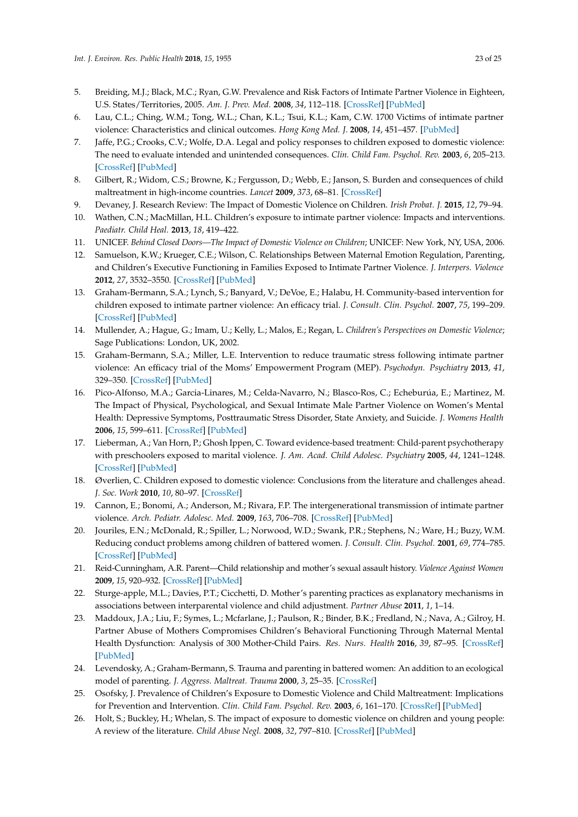- <span id="page-22-22"></span><span id="page-22-0"></span>5. Breiding, M.J.; Black, M.C.; Ryan, G.W. Prevalence and Risk Factors of Intimate Partner Violence in Eighteen, U.S. States/Territories, 2005. *Am. J. Prev. Med.* **2008**, *34*, 112–118. [\[CrossRef\]](http://dx.doi.org/10.1016/j.amepre.2007.10.001) [\[PubMed\]](http://www.ncbi.nlm.nih.gov/pubmed/18201640)
- <span id="page-22-23"></span><span id="page-22-1"></span>6. Lau, C.L.; Ching, W.M.; Tong, W.L.; Chan, K.L.; Tsui, K.L.; Kam, C.W. 1700 Victims of intimate partner violence: Characteristics and clinical outcomes. *Hong Kong Med. J.* **2008**, *14*, 451–457. [\[PubMed\]](http://www.ncbi.nlm.nih.gov/pubmed/19060344)
- <span id="page-22-2"></span>7. Jaffe, P.G.; Crooks, C.V.; Wolfe, D.A. Legal and policy responses to children exposed to domestic violence: The need to evaluate intended and unintended consequences. *Clin. Child Fam. Psychol. Rev.* **2003**, *6*, 205–213. [\[CrossRef\]](http://dx.doi.org/10.1023/A:1024914517072) [\[PubMed\]](http://www.ncbi.nlm.nih.gov/pubmed/14620580)
- <span id="page-22-3"></span>8. Gilbert, R.; Widom, C.S.; Browne, K.; Fergusson, D.; Webb, E.; Janson, S. Burden and consequences of child maltreatment in high-income countries. *Lancet* **2009**, *373*, 68–81. [\[CrossRef\]](http://dx.doi.org/10.1016/S0140-6736(08)61706-7)
- <span id="page-22-4"></span>9. Devaney, J. Research Review: The Impact of Domestic Violence on Children. *Irish Probat. J.* **2015**, *12*, 79–94.
- <span id="page-22-5"></span>10. Wathen, C.N.; MacMillan, H.L. Children's exposure to intimate partner violence: Impacts and interventions. *Paediatr. Child Heal.* **2013**, *18*, 419–422.
- <span id="page-22-6"></span>11. UNICEF. *Behind Closed Doors—The Impact of Domestic Violence on Children*; UNICEF: New York, NY, USA, 2006.
- <span id="page-22-7"></span>12. Samuelson, K.W.; Krueger, C.E.; Wilson, C. Relationships Between Maternal Emotion Regulation, Parenting, and Children's Executive Functioning in Families Exposed to Intimate Partner Violence. *J. Interpers. Violence* **2012**, *27*, 3532–3550. [\[CrossRef\]](http://dx.doi.org/10.1177/0886260512445385) [\[PubMed\]](http://www.ncbi.nlm.nih.gov/pubmed/22610834)
- <span id="page-22-21"></span><span id="page-22-8"></span>13. Graham-Bermann, S.A.; Lynch, S.; Banyard, V.; DeVoe, E.; Halabu, H. Community-based intervention for children exposed to intimate partner violence: An efficacy trial. *J. Consult. Clin. Psychol.* **2007**, *75*, 199–209. [\[CrossRef\]](http://dx.doi.org/10.1037/0022-006X.75.2.199) [\[PubMed\]](http://www.ncbi.nlm.nih.gov/pubmed/17469878)
- <span id="page-22-9"></span>14. Mullender, A.; Hague, G.; Imam, U.; Kelly, L.; Malos, E.; Regan, L. *Children's Perspectives on Domestic Violence*; Sage Publications: London, UK, 2002.
- <span id="page-22-10"></span>15. Graham-Bermann, S.A.; Miller, L.E. Intervention to reduce traumatic stress following intimate partner violence: An efficacy trial of the Moms' Empowerment Program (MEP). *Psychodyn. Psychiatry* **2013**, *41*, 329–350. [\[CrossRef\]](http://dx.doi.org/10.1521/pdps.2013.41.2.329) [\[PubMed\]](http://www.ncbi.nlm.nih.gov/pubmed/23713623)
- <span id="page-22-11"></span>16. Pico-Alfonso, M.A.; Garcia-Linares, M.; Celda-Navarro, N.; Blasco-Ros, C.; Echeburúa, E.; Martinez, M. The Impact of Physical, Psychological, and Sexual Intimate Male Partner Violence on Women's Mental Health: Depressive Symptoms, Posttraumatic Stress Disorder, State Anxiety, and Suicide. *J. Womens Health* **2006**, *15*, 599–611. [\[CrossRef\]](http://dx.doi.org/10.1089/jwh.2006.15.599) [\[PubMed\]](http://www.ncbi.nlm.nih.gov/pubmed/16796487)
- <span id="page-22-12"></span>17. Lieberman, A.; Van Horn, P.; Ghosh Ippen, C. Toward evidence-based treatment: Child-parent psychotherapy with preschoolers exposed to marital violence. *J. Am. Acad. Child Adolesc. Psychiatry* **2005**, *44*, 1241–1248. [\[CrossRef\]](http://dx.doi.org/10.1097/01.chi.0000181047.59702.58) [\[PubMed\]](http://www.ncbi.nlm.nih.gov/pubmed/16292115)
- <span id="page-22-13"></span>18. Øverlien, C. Children exposed to domestic violence: Conclusions from the literature and challenges ahead. *J. Soc. Work* **2010**, *10*, 80–97. [\[CrossRef\]](http://dx.doi.org/10.1177/1468017309350663)
- <span id="page-22-14"></span>19. Cannon, E.; Bonomi, A.; Anderson, M.; Rivara, F.P. The intergenerational transmission of intimate partner violence. *Arch. Pediatr. Adolesc. Med.* **2009**, *163*, 706–708. [\[CrossRef\]](http://dx.doi.org/10.1001/archpediatrics.2009.91) [\[PubMed\]](http://www.ncbi.nlm.nih.gov/pubmed/19652101)
- <span id="page-22-15"></span>20. Jouriles, E.N.; McDonald, R.; Spiller, L.; Norwood, W.D.; Swank, P.R.; Stephens, N.; Ware, H.; Buzy, W.M. Reducing conduct problems among children of battered women. *J. Consult. Clin. Psychol.* **2001**, *69*, 774–785. [\[CrossRef\]](http://dx.doi.org/10.1037/0022-006X.69.5.774) [\[PubMed\]](http://www.ncbi.nlm.nih.gov/pubmed/11680554)
- 21. Reid-Cunningham, A.R. Parent—Child relationship and mother's sexual assault history. *Violence Against Women* **2009**, *15*, 920–932. [\[CrossRef\]](http://dx.doi.org/10.1177/1077801209335492) [\[PubMed\]](http://www.ncbi.nlm.nih.gov/pubmed/19509321)
- <span id="page-22-16"></span>22. Sturge-apple, M.L.; Davies, P.T.; Cicchetti, D. Mother's parenting practices as explanatory mechanisms in associations between interparental violence and child adjustment. *Partner Abuse* **2011**, *1*, 1–14.
- <span id="page-22-17"></span>23. Maddoux, J.A.; Liu, F.; Symes, L.; Mcfarlane, J.; Paulson, R.; Binder, B.K.; Fredland, N.; Nava, A.; Gilroy, H. Partner Abuse of Mothers Compromises Children's Behavioral Functioning Through Maternal Mental Health Dysfunction: Analysis of 300 Mother-Child Pairs. *Res. Nurs. Health* **2016**, *39*, 87–95. [\[CrossRef\]](http://dx.doi.org/10.1002/nur.21708) [\[PubMed\]](http://www.ncbi.nlm.nih.gov/pubmed/26694769)
- <span id="page-22-18"></span>24. Levendosky, A.; Graham-Bermann, S. Trauma and parenting in battered women: An addition to an ecological model of parenting. *J. Aggress. Maltreat. Trauma* **2000**, *3*, 25–35. [\[CrossRef\]](http://dx.doi.org/10.1300/J146v03n01_03)
- <span id="page-22-19"></span>25. Osofsky, J. Prevalence of Children's Exposure to Domestic Violence and Child Maltreatment: Implications for Prevention and Intervention. *Clin. Child Fam. Psychol. Rev.* **2003**, *6*, 161–170. [\[CrossRef\]](http://dx.doi.org/10.1023/A:1024958332093) [\[PubMed\]](http://www.ncbi.nlm.nih.gov/pubmed/14620577)
- <span id="page-22-20"></span>26. Holt, S.; Buckley, H.; Whelan, S. The impact of exposure to domestic violence on children and young people: A review of the literature. *Child Abuse Negl.* **2008**, *32*, 797–810. [\[CrossRef\]](http://dx.doi.org/10.1016/j.chiabu.2008.02.004) [\[PubMed\]](http://www.ncbi.nlm.nih.gov/pubmed/18752848)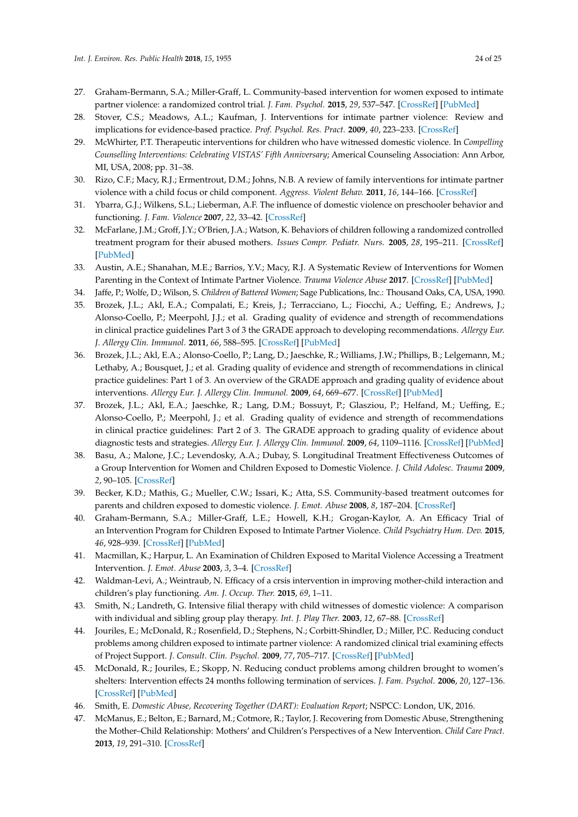- <span id="page-23-0"></span>27. Graham-Bermann, S.A.; Miller-Graff, L. Community-based intervention for women exposed to intimate partner violence: a randomized control trial. *J. Fam. Psychol.* **2015**, *29*, 537–547. [\[CrossRef\]](http://dx.doi.org/10.1037/fam0000091) [\[PubMed\]](http://www.ncbi.nlm.nih.gov/pubmed/26030027)
- <span id="page-23-1"></span>28. Stover, C.S.; Meadows, A.L.; Kaufman, J. Interventions for intimate partner violence: Review and implications for evidence-based practice. *Prof. Psychol. Res. Pract.* **2009**, *40*, 223–233. [\[CrossRef\]](http://dx.doi.org/10.1037/a0012718)
- <span id="page-23-2"></span>29. McWhirter, P.T. Therapeutic interventions for children who have witnessed domestic violence. In *Compelling Counselling Interventions: Celebrating VISTAS' Fifth Anniversary*; Americal Counseling Association: Ann Arbor, MI, USA, 2008; pp. 31–38.
- <span id="page-23-3"></span>30. Rizo, C.F.; Macy, R.J.; Ermentrout, D.M.; Johns, N.B. A review of family interventions for intimate partner violence with a child focus or child component. *Aggress. Violent Behav.* **2011**, *16*, 144–166. [\[CrossRef\]](http://dx.doi.org/10.1016/j.avb.2011.02.004)
- <span id="page-23-18"></span><span id="page-23-4"></span>31. Ybarra, G.J.; Wilkens, S.L.; Lieberman, A.F. The influence of domestic violence on preschooler behavior and functioning. *J. Fam. Violence* **2007**, *22*, 33–42. [\[CrossRef\]](http://dx.doi.org/10.1007/s10896-006-9054-y)
- <span id="page-23-19"></span><span id="page-23-5"></span>32. McFarlane, J.M.; Groff, J.Y.; O'Brien, J.A.; Watson, K. Behaviors of children following a randomized controlled treatment program for their abused mothers. *Issues Compr. Pediatr. Nurs.* **2005**, *28*, 195–211. [\[CrossRef\]](http://dx.doi.org/10.1080/01460860500396708) [\[PubMed\]](http://www.ncbi.nlm.nih.gov/pubmed/16356894)
- <span id="page-23-20"></span><span id="page-23-6"></span>33. Austin, A.E.; Shanahan, M.E.; Barrios, Y.V.; Macy, R.J. A Systematic Review of Interventions for Women Parenting in the Context of Intimate Partner Violence. *Trauma Violence Abuse* **2017**. [\[CrossRef\]](http://dx.doi.org/10.1177/1524838017719233) [\[PubMed\]](http://www.ncbi.nlm.nih.gov/pubmed/29333985)
- <span id="page-23-7"></span>34. Jaffe, P.; Wolfe, D.; Wilson, S. *Children of Battered Women*; Sage Publications, Inc.: Thousand Oaks, CA, USA, 1990.
- <span id="page-23-21"></span><span id="page-23-8"></span>35. Brozek, J.L.; Akl, E.A.; Compalati, E.; Kreis, J.; Terracciano, L.; Fiocchi, A.; Ueffing, E.; Andrews, J.; Alonso-Coello, P.; Meerpohl, J.J.; et al. Grading quality of evidence and strength of recommendations in clinical practice guidelines Part 3 of 3 the GRADE approach to developing recommendations. *Allergy Eur. J. Allergy Clin. Immunol.* **2011**, *66*, 588–595. [\[CrossRef\]](http://dx.doi.org/10.1111/j.1398-9995.2010.02530.x) [\[PubMed\]](http://www.ncbi.nlm.nih.gov/pubmed/21241318)
- <span id="page-23-23"></span><span id="page-23-22"></span>36. Brozek, J.L.; Akl, E.A.; Alonso-Coello, P.; Lang, D.; Jaeschke, R.; Williams, J.W.; Phillips, B.; Lelgemann, M.; Lethaby, A.; Bousquet, J.; et al. Grading quality of evidence and strength of recommendations in clinical practice guidelines: Part 1 of 3. An overview of the GRADE approach and grading quality of evidence about interventions. *Allergy Eur. J. Allergy Clin. Immunol.* **2009**, *64*, 669–677. [\[CrossRef\]](http://dx.doi.org/10.1111/j.1398-9995.2009.01973.x) [\[PubMed\]](http://www.ncbi.nlm.nih.gov/pubmed/19210357)
- <span id="page-23-25"></span><span id="page-23-24"></span><span id="page-23-9"></span>37. Brozek, J.L.; Akl, E.A.; Jaeschke, R.; Lang, D.M.; Bossuyt, P.; Glasziou, P.; Helfand, M.; Ueffing, E.; Alonso-Coello, P.; Meerpohl, J.; et al. Grading quality of evidence and strength of recommendations in clinical practice guidelines: Part 2 of 3. The GRADE approach to grading quality of evidence about diagnostic tests and strategies. *Allergy Eur. J. Allergy Clin. Immunol.* **2009**, *64*, 1109–1116. [\[CrossRef\]](http://dx.doi.org/10.1111/j.1398-9995.2009.02083.x) [\[PubMed\]](http://www.ncbi.nlm.nih.gov/pubmed/19489757)
- <span id="page-23-26"></span><span id="page-23-10"></span>38. Basu, A.; Malone, J.C.; Levendosky, A.A.; Dubay, S. Longitudinal Treatment Effectiveness Outcomes of a Group Intervention for Women and Children Exposed to Domestic Violence. *J. Child Adolesc. Trauma* **2009**, *2*, 90–105. [\[CrossRef\]](http://dx.doi.org/10.1080/19361520902880715)
- <span id="page-23-27"></span>39. Becker, K.D.; Mathis, G.; Mueller, C.W.; Issari, K.; Atta, S.S. Community-based treatment outcomes for parents and children exposed to domestic violence. *J. Emot. Abuse* **2008**, *8*, 187–204. [\[CrossRef\]](http://dx.doi.org/10.1080/10926790801986122)
- <span id="page-23-28"></span>40. Graham-Bermann, S.A.; Miller-Graff, L.E.; Howell, K.H.; Grogan-Kaylor, A. An Efficacy Trial of an Intervention Program for Children Exposed to Intimate Partner Violence. *Child Psychiatry Hum. Dev.* **2015**, *46*, 928–939. [\[CrossRef\]](http://dx.doi.org/10.1007/s10578-015-0532-4) [\[PubMed\]](http://www.ncbi.nlm.nih.gov/pubmed/25596929)
- <span id="page-23-11"></span>41. Macmillan, K.; Harpur, L. An Examination of Children Exposed to Marital Violence Accessing a Treatment Intervention. *J. Emot. Abuse* **2003**, *3*, 3–4. [\[CrossRef\]](http://dx.doi.org/10.1300/J135v03n03_04)
- <span id="page-23-12"></span>42. Waldman-Levi, A.; Weintraub, N. Efficacy of a crsis intervention in improving mother-child interaction and children's play functioning. *Am. J. Occup. Ther.* **2015**, *69*, 1–11.
- <span id="page-23-13"></span>43. Smith, N.; Landreth, G. Intensive filial therapy with child witnesses of domestic violence: A comparison with individual and sibling group play therapy. *Int. J. Play Ther.* **2003**, *12*, 67–88. [\[CrossRef\]](http://dx.doi.org/10.1037/h0088872)
- <span id="page-23-14"></span>44. Jouriles, E.; McDonald, R.; Rosenfield, D.; Stephens, N.; Corbitt-Shindler, D.; Miller, P.C. Reducing conduct problems among children exposed to intimate partner violence: A randomized clinical trial examining effects of Project Support. *J. Consult. Clin. Psychol.* **2009**, *77*, 705–717. [\[CrossRef\]](http://dx.doi.org/10.1037/a0015994) [\[PubMed\]](http://www.ncbi.nlm.nih.gov/pubmed/19634963)
- <span id="page-23-15"></span>45. McDonald, R.; Jouriles, E.; Skopp, N. Reducing conduct problems among children brought to women's shelters: Intervention effects 24 months following termination of services. *J. Fam. Psychol.* **2006**, *20*, 127–136. [\[CrossRef\]](http://dx.doi.org/10.1037/0893-3200.20.1.127) [\[PubMed\]](http://www.ncbi.nlm.nih.gov/pubmed/16569097)
- <span id="page-23-16"></span>46. Smith, E. *Domestic Abuse, Recovering Together (DART): Evaluation Report*; NSPCC: London, UK, 2016.
- <span id="page-23-17"></span>47. McManus, E.; Belton, E.; Barnard, M.; Cotmore, R.; Taylor, J. Recovering from Domestic Abuse, Strengthening the Mother–Child Relationship: Mothers' and Children's Perspectives of a New Intervention. *Child Care Pract.* **2013**, *19*, 291–310. [\[CrossRef\]](http://dx.doi.org/10.1080/13575279.2013.785933)